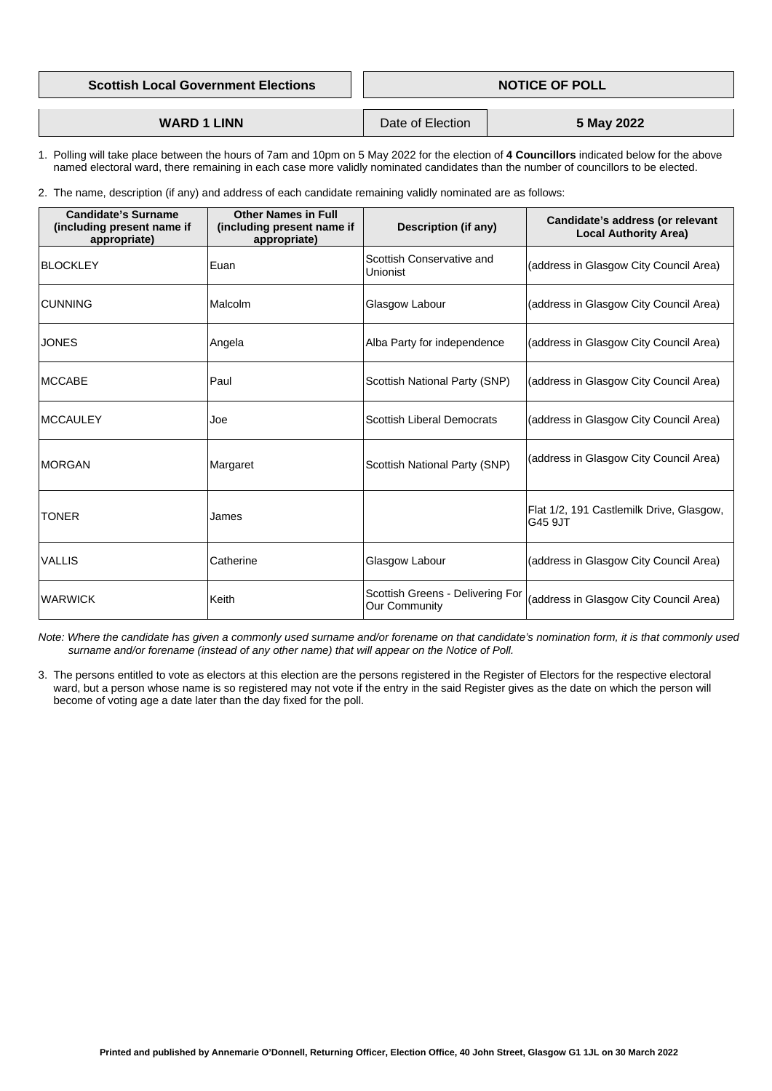| <b>Scottish Local Government Elections</b> | <b>NOTICE OF POLL</b> |
|--------------------------------------------|-----------------------|
|                                            |                       |
|                                            |                       |

| <b>WARD 1 LINN</b> | Date of Election | 5 May 2022 |
|--------------------|------------------|------------|
|                    |                  |            |

- 1. Polling will take place between the hours of 7am and 10pm on 5 May 2022 for the election of **4 Councillors** indicated below for the above named electoral ward, there remaining in each case more validly nominated candidates than the number of councillors to be elected.
- 2. The name, description (if any) and address of each candidate remaining validly nominated are as follows:

| <b>Candidate's Surname</b><br>(including present name if<br>appropriate) | <b>Other Names in Full</b><br>(including present name if<br>appropriate) | <b>Description (if any)</b>                              | <b>Candidate's address (or relevant</b><br><b>Local Authority Area)</b> |
|--------------------------------------------------------------------------|--------------------------------------------------------------------------|----------------------------------------------------------|-------------------------------------------------------------------------|
| <b>BLOCKLEY</b>                                                          | Euan                                                                     | Scottish Conservative and<br><b>Unionist</b>             | (address in Glasgow City Council Area)                                  |
| <b>CUNNING</b>                                                           | Malcolm                                                                  | <b>Glasgow Labour</b>                                    | (address in Glasgow City Council Area)                                  |
| <b>JONES</b>                                                             | Angela                                                                   | Alba Party for independence                              | (address in Glasgow City Council Area)                                  |
| <b>MCCABE</b>                                                            | Paul                                                                     | <b>Scottish National Party (SNP)</b>                     | (address in Glasgow City Council Area)                                  |
| <b>MCCAULEY</b>                                                          | Joe                                                                      | <b>Scottish Liberal Democrats</b>                        | (address in Glasgow City Council Area)                                  |
| <b>MORGAN</b>                                                            | Margaret                                                                 | <b>Scottish National Party (SNP)</b>                     | (address in Glasgow City Council Area)                                  |
| <b>TONER</b>                                                             | James                                                                    |                                                          | Flat 1/2, 191 Castlemilk Drive, Glasgow,<br>G45 9JT                     |
| <b>VALLIS</b>                                                            | Catherine                                                                | Glasgow Labour                                           | (address in Glasgow City Council Area)                                  |
| <b>WARWICK</b>                                                           | Keith                                                                    | Scottish Greens - Delivering For<br><b>Our Community</b> | (address in Glasgow City Council Area)                                  |

 *Note: Where the candidate has given a commonly used surname and/or forename on that candidate's nomination form, it is that commonly used surname and/or forename (instead of any other name) that will appear on the Notice of Poll.*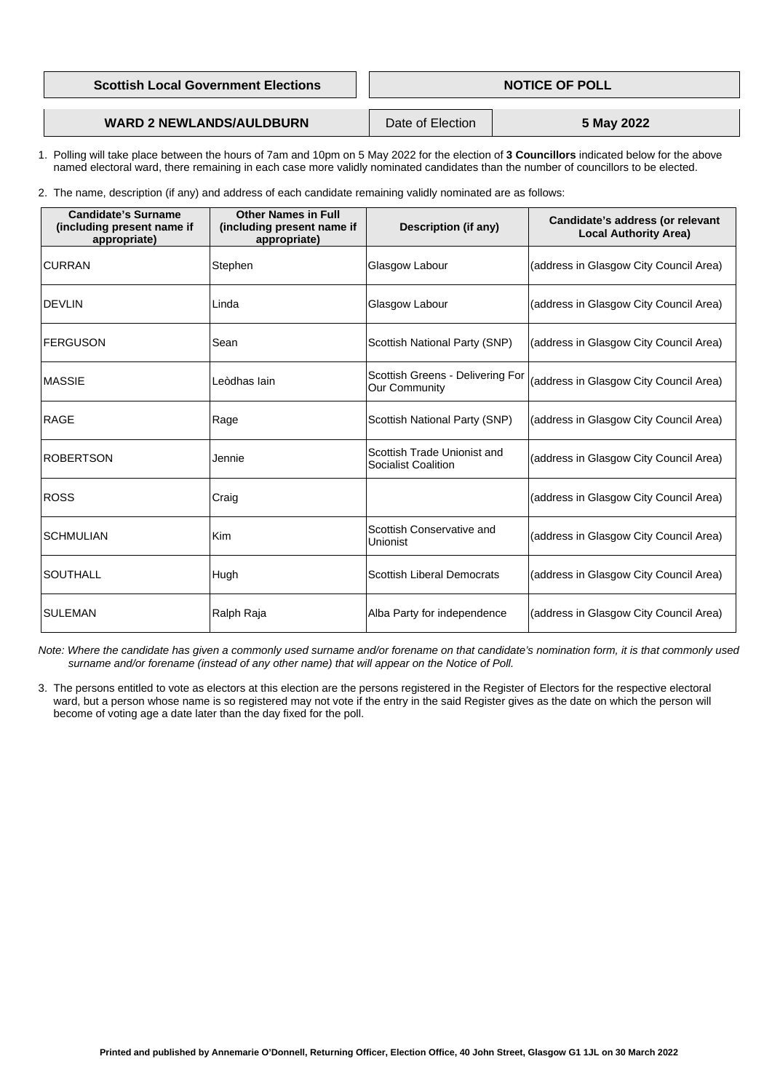|  |  | <b>Scottish Local Government Elections</b> |
|--|--|--------------------------------------------|
|--|--|--------------------------------------------|

**Printed and published by Annemarie O'Donnell, Returning Officer, Election Office, 40 John Street, Glasgow G1 1JL on 30 March 2022** 

### **WARD 2 NEWLANDS/AULDBURN** Date of Election **5 May 2022**

- 1. Polling will take place between the hours of 7am and 10pm on 5 May 2022 for the election of **3 Councillors** indicated below for the above named electoral ward, there remaining in each case more validly nominated candidates than the number of councillors to be elected.
- 2. The name, description (if any) and address of each candidate remaining validly nominated are as follows:

| <b>Candidate's Surname</b><br>(including present name if<br>appropriate) | <b>Other Names in Full</b><br>(including present name if<br>appropriate) | <b>Description (if any)</b>                                      | <b>Candidate's address (or relevant</b><br><b>Local Authority Area)</b> |
|--------------------------------------------------------------------------|--------------------------------------------------------------------------|------------------------------------------------------------------|-------------------------------------------------------------------------|
| <b>CURRAN</b>                                                            | Stephen                                                                  | Glasgow Labour                                                   | (address in Glasgow City Council Area)                                  |
| <b>DEVLIN</b>                                                            | Linda                                                                    | Glasgow Labour                                                   | (address in Glasgow City Council Area)                                  |
| <b>FERGUSON</b>                                                          | Sean                                                                     | <b>Scottish National Party (SNP)</b>                             | (address in Glasgow City Council Area)                                  |
| <b>MASSIE</b>                                                            | Leòdhas Iain                                                             | Scottish Greens - Delivering For<br><b>Our Community</b>         | (address in Glasgow City Council Area)                                  |
| <b>RAGE</b>                                                              | Rage                                                                     | <b>Scottish National Party (SNP)</b>                             | (address in Glasgow City Council Area)                                  |
| <b>ROBERTSON</b>                                                         | Jennie                                                                   | <b>Scottish Trade Unionist and</b><br><b>Socialist Coalition</b> | (address in Glasgow City Council Area)                                  |
| <b>ROSS</b>                                                              | Craig                                                                    |                                                                  | (address in Glasgow City Council Area)                                  |
| <b>SCHMULIAN</b>                                                         | Kim                                                                      | Scottish Conservative and<br><b>Unionist</b>                     | (address in Glasgow City Council Area)                                  |
| <b>SOUTHALL</b>                                                          | Hugh                                                                     | <b>Scottish Liberal Democrats</b>                                | (address in Glasgow City Council Area)                                  |
| <b>SULEMAN</b>                                                           | Ralph Raja                                                               | Alba Party for independence                                      | (address in Glasgow City Council Area)                                  |

 *Note: Where the candidate has given a commonly used surname and/or forename on that candidate's nomination form, it is that commonly used surname and/or forename (instead of any other name) that will appear on the Notice of Poll.*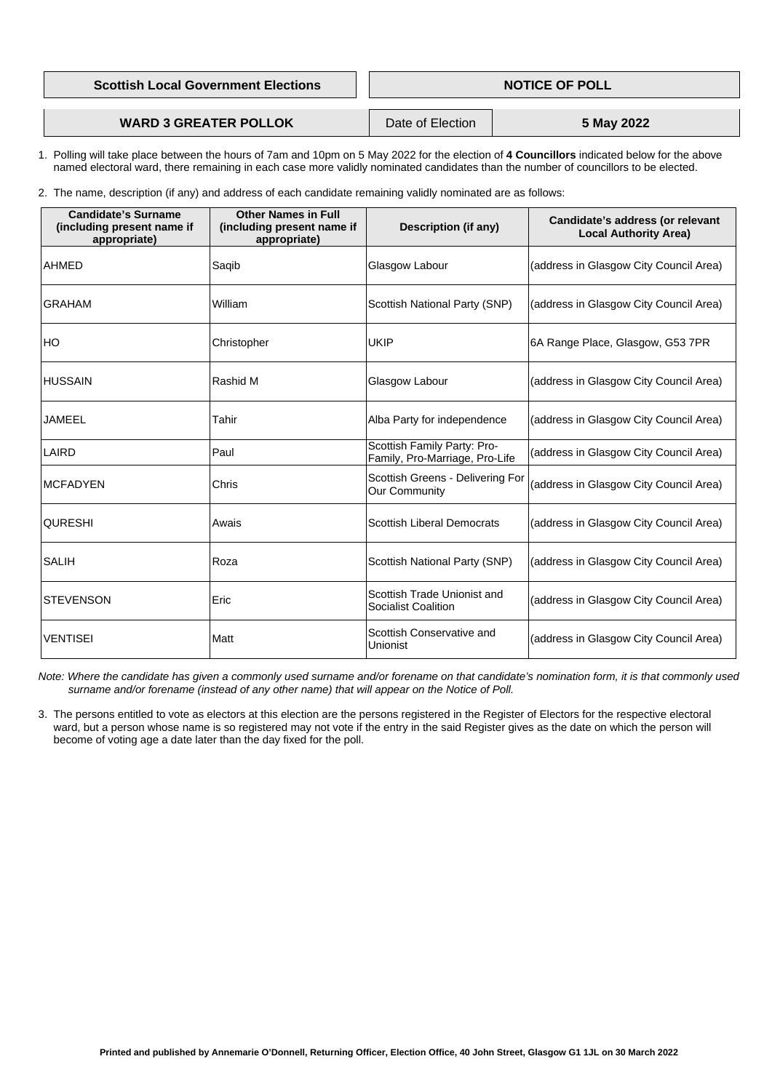|  | <b>Scottish Local Government Elections</b> |
|--|--------------------------------------------|
|--|--------------------------------------------|

**Printed and published by Annemarie O'Donnell, Returning Officer, Election Office, 40 John Street, Glasgow G1 1JL on 30 March 2022** 

## **WARD 3 GREATER POLLOK** Date of Election **5 May 2022**

- 1. Polling will take place between the hours of 7am and 10pm on 5 May 2022 for the election of **4 Councillors** indicated below for the above named electoral ward, there remaining in each case more validly nominated candidates than the number of councillors to be elected.
- 2. The name, description (if any) and address of each candidate remaining validly nominated are as follows:

| <b>Candidate's Surname</b><br>(including present name if<br>appropriate) | <b>Other Names in Full</b><br>(including present name if<br>appropriate) | <b>Description (if any)</b>                                     | <b>Candidate's address (or relevant</b><br><b>Local Authority Area)</b> |
|--------------------------------------------------------------------------|--------------------------------------------------------------------------|-----------------------------------------------------------------|-------------------------------------------------------------------------|
| <b>AHMED</b>                                                             | Saqib                                                                    | Glasgow Labour                                                  | (address in Glasgow City Council Area)                                  |
| <b>GRAHAM</b>                                                            | William                                                                  | <b>Scottish National Party (SNP)</b>                            | (address in Glasgow City Council Area)                                  |
| HO                                                                       | Christopher                                                              | <b>UKIP</b>                                                     | 6A Range Place, Glasgow, G53 7PR                                        |
| <b>HUSSAIN</b>                                                           | Rashid M                                                                 | Glasgow Labour                                                  | (address in Glasgow City Council Area)                                  |
| <b>JAMEEL</b>                                                            | Tahir                                                                    | Alba Party for independence                                     | (address in Glasgow City Council Area)                                  |
| LAIRD                                                                    | Paul                                                                     | Scottish Family Party: Pro-<br>Family, Pro-Marriage, Pro-Life   | (address in Glasgow City Council Area)                                  |
| <b>MCFADYEN</b>                                                          | <b>Chris</b>                                                             | <b>Scottish Greens - Delivering For</b><br><b>Our Community</b> | (address in Glasgow City Council Area)                                  |
| <b>QURESHI</b>                                                           | Awais                                                                    | <b>Scottish Liberal Democrats</b>                               | (address in Glasgow City Council Area)                                  |
| <b>SALIH</b>                                                             | Roza                                                                     | <b>Scottish National Party (SNP)</b>                            | (address in Glasgow City Council Area)                                  |
| <b>STEVENSON</b>                                                         | Eric                                                                     | Scottish Trade Unionist and<br><b>Socialist Coalition</b>       | (address in Glasgow City Council Area)                                  |
| <b>VENTISEI</b>                                                          | Matt                                                                     | Scottish Conservative and<br>Unionist                           | (address in Glasgow City Council Area)                                  |

 *Note: Where the candidate has given a commonly used surname and/or forename on that candidate's nomination form, it is that commonly used surname and/or forename (instead of any other name) that will appear on the Notice of Poll.*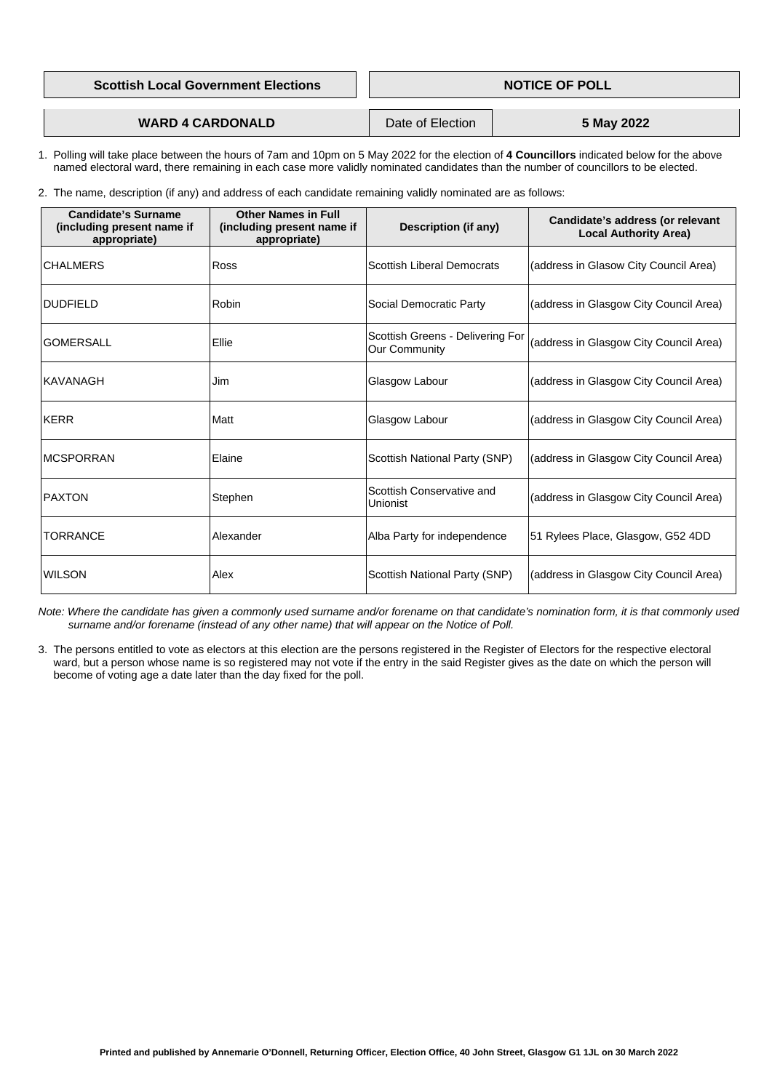|  | <b>Scottish Local Government Elections</b> |
|--|--------------------------------------------|
|--|--------------------------------------------|

**Printed and published by Annemarie O'Donnell, Returning Officer, Election Office, 40 John Street, Glasgow G1 1JL on 30 March 2022** 

**WARD 4 CARDONALD** Date of Election **5 May 2022** 

- 1. Polling will take place between the hours of 7am and 10pm on 5 May 2022 for the election of **4 Councillors** indicated below for the above named electoral ward, there remaining in each case more validly nominated candidates than the number of councillors to be elected.
- 2. The name, description (if any) and address of each candidate remaining validly nominated are as follows:

| <b>Candidate's Surname</b><br>(including present name if<br>appropriate) | <b>Other Names in Full</b><br>(including present name if<br>appropriate) | <b>Description (if any)</b>                                     | Candidate's address (or relevant<br><b>Local Authority Area)</b> |
|--------------------------------------------------------------------------|--------------------------------------------------------------------------|-----------------------------------------------------------------|------------------------------------------------------------------|
| <b>CHALMERS</b>                                                          | <b>Ross</b>                                                              | <b>Scottish Liberal Democrats</b>                               | (address in Glasow City Council Area)                            |
| <b>DUDFIELD</b>                                                          | <b>Robin</b>                                                             | <b>Social Democratic Party</b>                                  | (address in Glasgow City Council Area)                           |
| <b>GOMERSALL</b>                                                         | Ellie                                                                    | <b>Scottish Greens - Delivering For</b><br><b>Our Community</b> | (address in Glasgow City Council Area)                           |
| <b>KAVANAGH</b>                                                          | Jim                                                                      | <b>Glasgow Labour</b>                                           | (address in Glasgow City Council Area)                           |
| <b>KERR</b>                                                              | Matt                                                                     | Glasgow Labour                                                  | (address in Glasgow City Council Area)                           |
| <b>MCSPORRAN</b>                                                         | Elaine                                                                   | <b>Scottish National Party (SNP)</b>                            | (address in Glasgow City Council Area)                           |
| <b>PAXTON</b>                                                            | Stephen                                                                  | Scottish Conservative and<br><b>Unionist</b>                    | (address in Glasgow City Council Area)                           |
| <b>TORRANCE</b>                                                          | Alexander                                                                | Alba Party for independence                                     | 51 Rylees Place, Glasgow, G52 4DD                                |
| <b>WILSON</b>                                                            | Alex                                                                     | Scottish National Party (SNP)                                   | (address in Glasgow City Council Area)                           |

 *Note: Where the candidate has given a commonly used surname and/or forename on that candidate's nomination form, it is that commonly used surname and/or forename (instead of any other name) that will appear on the Notice of Poll.*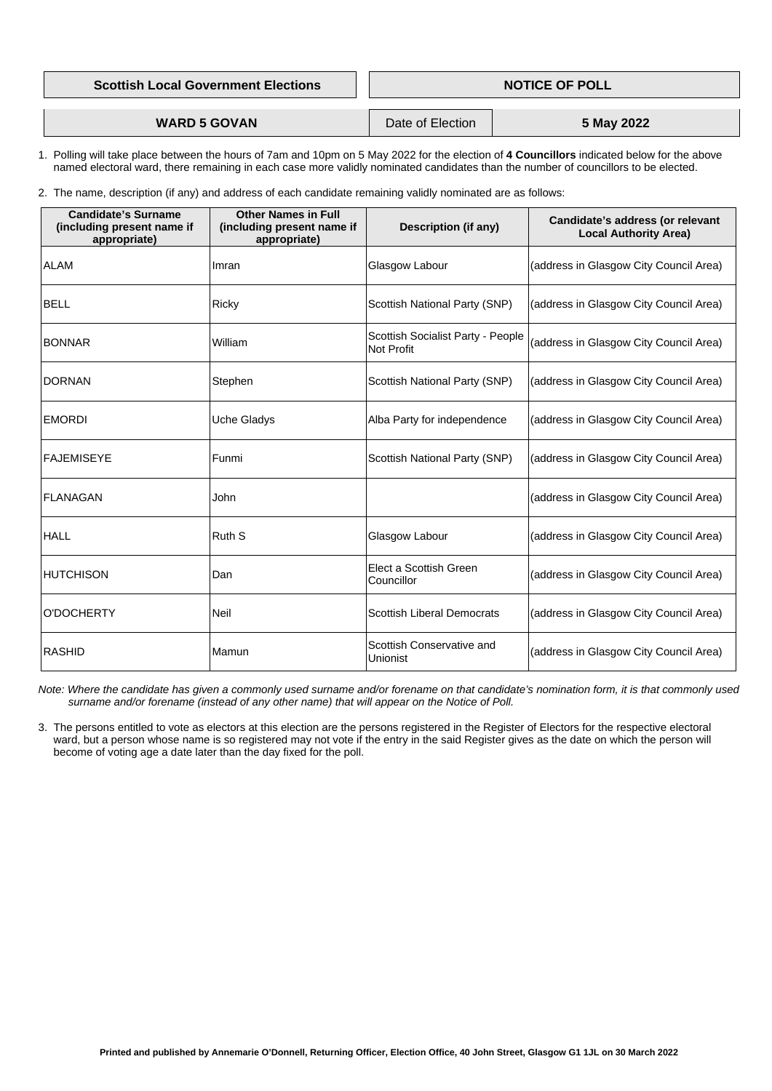| <b>NOTICE OF POLL</b> |
|-----------------------|
|                       |
|                       |

**WARD 5 GOVAN** Date of Election **5 May 2022** 

- 1. Polling will take place between the hours of 7am and 10pm on 5 May 2022 for the election of **4 Councillors** indicated below for the above named electoral ward, there remaining in each case more validly nominated candidates than the number of councillors to be elected.
- 2. The name, description (if any) and address of each candidate remaining validly nominated are as follows:

| <b>Candidate's Surname</b><br>(including present name if<br>appropriate) | <b>Other Names in Full</b><br>(including present name if<br>appropriate) | <b>Description (if any)</b>                                   | Candidate's address (or relevant<br><b>Local Authority Area)</b> |
|--------------------------------------------------------------------------|--------------------------------------------------------------------------|---------------------------------------------------------------|------------------------------------------------------------------|
| <b>ALAM</b>                                                              | Imran                                                                    | Glasgow Labour                                                | (address in Glasgow City Council Area)                           |
| <b>BELL</b>                                                              | <b>Ricky</b>                                                             | <b>Scottish National Party (SNP)</b>                          | (address in Glasgow City Council Area)                           |
| <b>BONNAR</b>                                                            | William                                                                  | <b>Scottish Socialist Party - People</b><br><b>Not Profit</b> | (address in Glasgow City Council Area)                           |
| <b>DORNAN</b>                                                            | Stephen                                                                  | <b>Scottish National Party (SNP)</b>                          | (address in Glasgow City Council Area)                           |
| <b>EMORDI</b>                                                            | <b>Uche Gladys</b>                                                       | Alba Party for independence                                   | (address in Glasgow City Council Area)                           |
| <b>FAJEMISEYE</b>                                                        | Funmi                                                                    | <b>Scottish National Party (SNP)</b>                          | (address in Glasgow City Council Area)                           |
| <b>FLANAGAN</b>                                                          | John                                                                     |                                                               | (address in Glasgow City Council Area)                           |
| <b>HALL</b>                                                              | <b>Ruth S</b>                                                            | Glasgow Labour                                                | (address in Glasgow City Council Area)                           |
| <b>HUTCHISON</b>                                                         | Dan                                                                      | Elect a Scottish Green<br>Councillor                          | (address in Glasgow City Council Area)                           |
| <b>O'DOCHERTY</b>                                                        | <b>Neil</b>                                                              | <b>Scottish Liberal Democrats</b>                             | (address in Glasgow City Council Area)                           |
| <b>RASHID</b>                                                            | Mamun                                                                    | Scottish Conservative and<br><b>Unionist</b>                  | (address in Glasgow City Council Area)                           |

 *Note: Where the candidate has given a commonly used surname and/or forename on that candidate's nomination form, it is that commonly used surname and/or forename (instead of any other name) that will appear on the Notice of Poll.*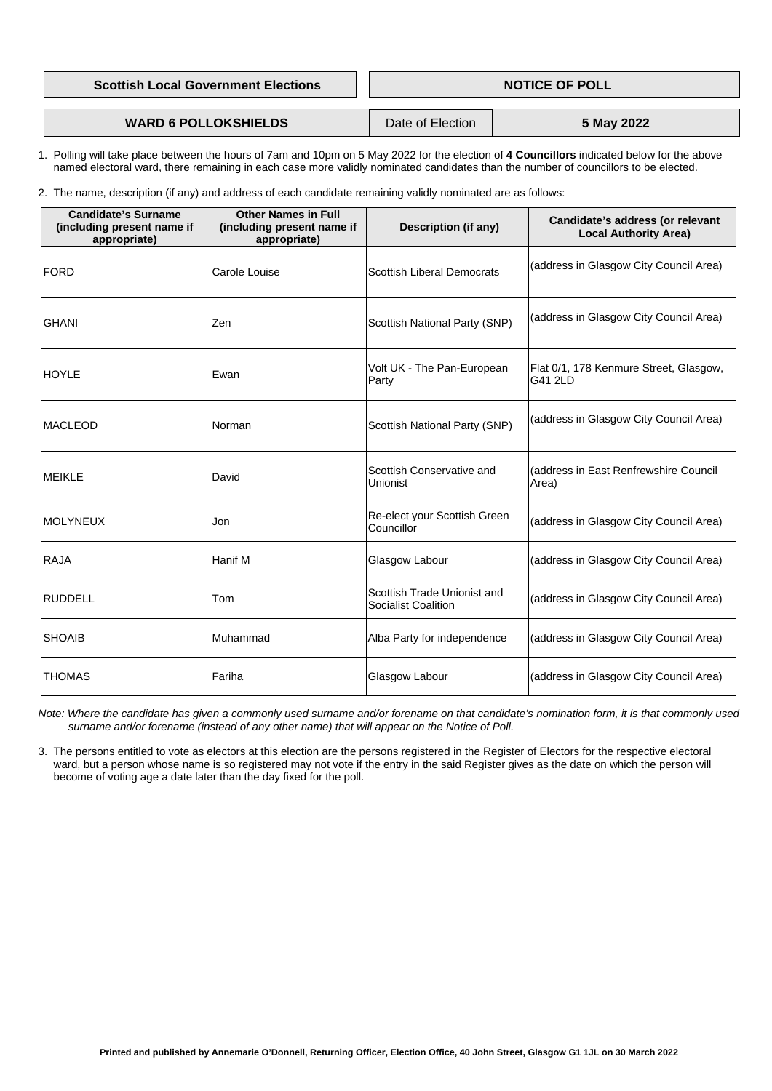| <b>NOTICE OF POLL</b> |
|-----------------------|
|                       |
|                       |

## **WARD 6 POLLOKSHIELDS** Date of Election **5 May 2022**

- 1. Polling will take place between the hours of 7am and 10pm on 5 May 2022 for the election of **4 Councillors** indicated below for the above named electoral ward, there remaining in each case more validly nominated candidates than the number of councillors to be elected.
- 2. The name, description (if any) and address of each candidate remaining validly nominated are as follows:

| <b>Candidate's Surname</b><br>(including present name if<br>appropriate) | <b>Other Names in Full</b><br>(including present name if<br>appropriate) | <b>Description (if any)</b>                               | Candidate's address (or relevant<br><b>Local Authority Area)</b> |
|--------------------------------------------------------------------------|--------------------------------------------------------------------------|-----------------------------------------------------------|------------------------------------------------------------------|
| <b>FORD</b>                                                              | <b>Carole Louise</b>                                                     | <b>Scottish Liberal Democrats</b>                         | (address in Glasgow City Council Area)                           |
| <b>GHANI</b>                                                             | Zen                                                                      | <b>Scottish National Party (SNP)</b>                      | (address in Glasgow City Council Area)                           |
| <b>HOYLE</b>                                                             | Ewan                                                                     | Volt UK - The Pan-European<br>Party                       | Flat 0/1, 178 Kenmure Street, Glasgow,<br>G41 2LD                |
| <b>MACLEOD</b>                                                           | Norman                                                                   | <b>Scottish National Party (SNP)</b>                      | (address in Glasgow City Council Area)                           |
| <b>MEIKLE</b>                                                            | David                                                                    | Scottish Conservative and<br>Unionist                     | (address in East Renfrewshire Council<br>Area)                   |
| <b>MOLYNEUX</b>                                                          | Jon                                                                      | Re-elect your Scottish Green<br>Councillor                | (address in Glasgow City Council Area)                           |
| <b>RAJA</b>                                                              | Hanif M                                                                  | Glasgow Labour                                            | (address in Glasgow City Council Area)                           |
| <b>RUDDELL</b>                                                           | Tom                                                                      | Scottish Trade Unionist and<br><b>Socialist Coalition</b> | (address in Glasgow City Council Area)                           |
| <b>SHOAIB</b>                                                            | Muhammad                                                                 | Alba Party for independence                               | (address in Glasgow City Council Area)                           |
| <b>THOMAS</b>                                                            | Fariha                                                                   | Glasgow Labour                                            | (address in Glasgow City Council Area)                           |

 *Note: Where the candidate has given a commonly used surname and/or forename on that candidate's nomination form, it is that commonly used surname and/or forename (instead of any other name) that will appear on the Notice of Poll.*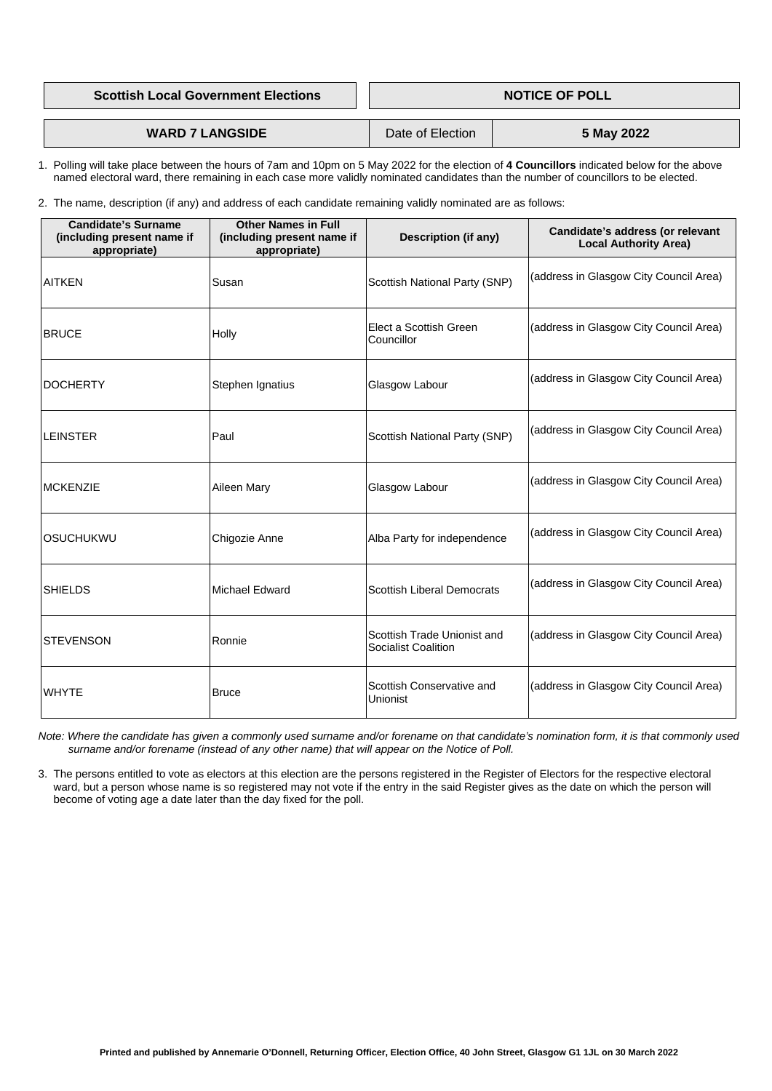**Scottish Local Government Elections NOTICE OF POLL** 

**WARD 7 LANGSIDE** Date of Election **5 May 2022** 

 1. Polling will take place between the hours of 7am and 10pm on 5 May 2022 for the election of **4 Councillors** indicated below for the above named electoral ward, there remaining in each case more validly nominated candidates than the number of councillors to be elected.

2. The name, description (if any) and address of each candidate remaining validly nominated are as follows:

| <b>Candidate's Surname</b><br>(including present name if<br>appropriate) | <b>Other Names in Full</b><br>(including present name if<br>appropriate) | <b>Description (if any)</b>                               | Candidate's address (or relevant<br><b>Local Authority Area)</b> |
|--------------------------------------------------------------------------|--------------------------------------------------------------------------|-----------------------------------------------------------|------------------------------------------------------------------|
| <b>AITKEN</b>                                                            | Susan                                                                    | <b>Scottish National Party (SNP)</b>                      | (address in Glasgow City Council Area)                           |
| <b>BRUCE</b>                                                             | Holly                                                                    | Elect a Scottish Green<br>Councillor                      | (address in Glasgow City Council Area)                           |
| <b>DOCHERTY</b>                                                          | Stephen Ignatius                                                         | Glasgow Labour                                            | (address in Glasgow City Council Area)                           |
| <b>LEINSTER</b>                                                          | Paul                                                                     | <b>Scottish National Party (SNP)</b>                      | (address in Glasgow City Council Area)                           |
| <b>IMCKENZIE</b>                                                         | <b>Aileen Mary</b>                                                       | Glasgow Labour                                            | (address in Glasgow City Council Area)                           |
| <b>OSUCHUKWU</b>                                                         | Chigozie Anne                                                            | Alba Party for independence                               | (address in Glasgow City Council Area)                           |
| <b>SHIELDS</b>                                                           | Michael Edward                                                           | <b>Scottish Liberal Democrats</b>                         | (address in Glasgow City Council Area)                           |
| <b>STEVENSON</b>                                                         | Ronnie                                                                   | Scottish Trade Unionist and<br><b>Socialist Coalition</b> | (address in Glasgow City Council Area)                           |
| <b>WHYTE</b>                                                             | <b>Bruce</b>                                                             | Scottish Conservative and<br><b>Unionist</b>              | (address in Glasgow City Council Area)                           |

 *Note: Where the candidate has given a commonly used surname and/or forename on that candidate's nomination form, it is that commonly used surname and/or forename (instead of any other name) that will appear on the Notice of Poll.*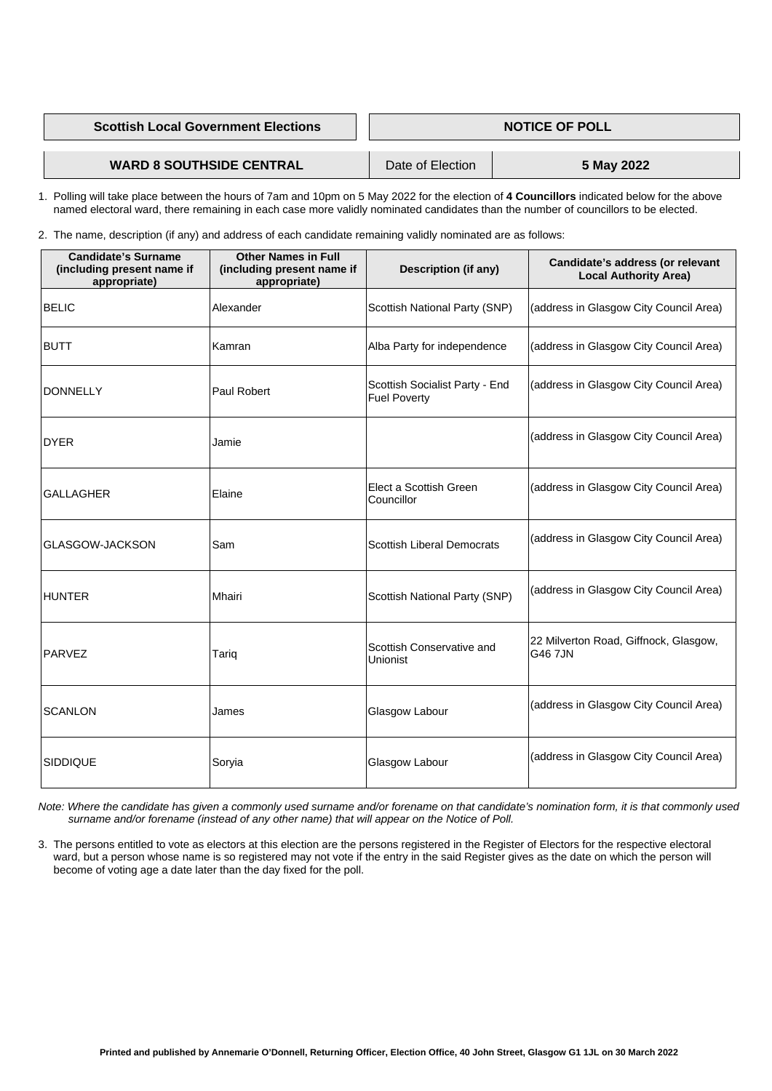| <b>Scottish Local Government Elections</b> | <b>NOTICE OF POLL</b> |            |
|--------------------------------------------|-----------------------|------------|
|                                            |                       |            |
| <b>WARD 8 SOUTHSIDE CENTRAL</b>            | Date of Election      | 5 May 2022 |

 1. Polling will take place between the hours of 7am and 10pm on 5 May 2022 for the election of **4 Councillors** indicated below for the above named electoral ward, there remaining in each case more validly nominated candidates than the number of councillors to be elected.

2. The name, description (if any) and address of each candidate remaining validly nominated are as follows:

| <b>Candidate's Surname</b><br>(including present name if<br>appropriate) | <b>Other Names in Full</b><br>(including present name if<br>appropriate) | <b>Description (if any)</b>                           | Candidate's address (or relevant<br><b>Local Authority Area)</b> |
|--------------------------------------------------------------------------|--------------------------------------------------------------------------|-------------------------------------------------------|------------------------------------------------------------------|
| <b>BELIC</b>                                                             | Alexander                                                                | <b>Scottish National Party (SNP)</b>                  | (address in Glasgow City Council Area)                           |
| <b>BUTT</b>                                                              | Kamran                                                                   | Alba Party for independence                           | (address in Glasgow City Council Area)                           |
| <b>DONNELLY</b>                                                          | <b>Paul Robert</b>                                                       | Scottish Socialist Party - End<br><b>Fuel Poverty</b> | (address in Glasgow City Council Area)                           |
| <b>DYER</b>                                                              | Jamie                                                                    |                                                       | (address in Glasgow City Council Area)                           |
| <b>GALLAGHER</b>                                                         | Elaine                                                                   | Elect a Scottish Green<br>Councillor                  | (address in Glasgow City Council Area)                           |
| <b>GLASGOW-JACKSON</b>                                                   | Sam                                                                      | <b>Scottish Liberal Democrats</b>                     | (address in Glasgow City Council Area)                           |
| <b>HUNTER</b>                                                            | Mhairi                                                                   | <b>Scottish National Party (SNP)</b>                  | (address in Glasgow City Council Area)                           |
| <b>PARVEZ</b>                                                            | Tariq                                                                    | Scottish Conservative and<br>Unionist                 | 22 Milverton Road, Giffnock, Glasgow,<br><b>G46 7JN</b>          |
| <b>SCANLON</b>                                                           | James                                                                    | <b>Glasgow Labour</b>                                 | (address in Glasgow City Council Area)                           |
| <b>SIDDIQUE</b>                                                          | Soryia                                                                   | <b>Glasgow Labour</b>                                 | (address in Glasgow City Council Area)                           |

 *Note: Where the candidate has given a commonly used surname and/or forename on that candidate's nomination form, it is that commonly used surname and/or forename (instead of any other name) that will appear on the Notice of Poll.*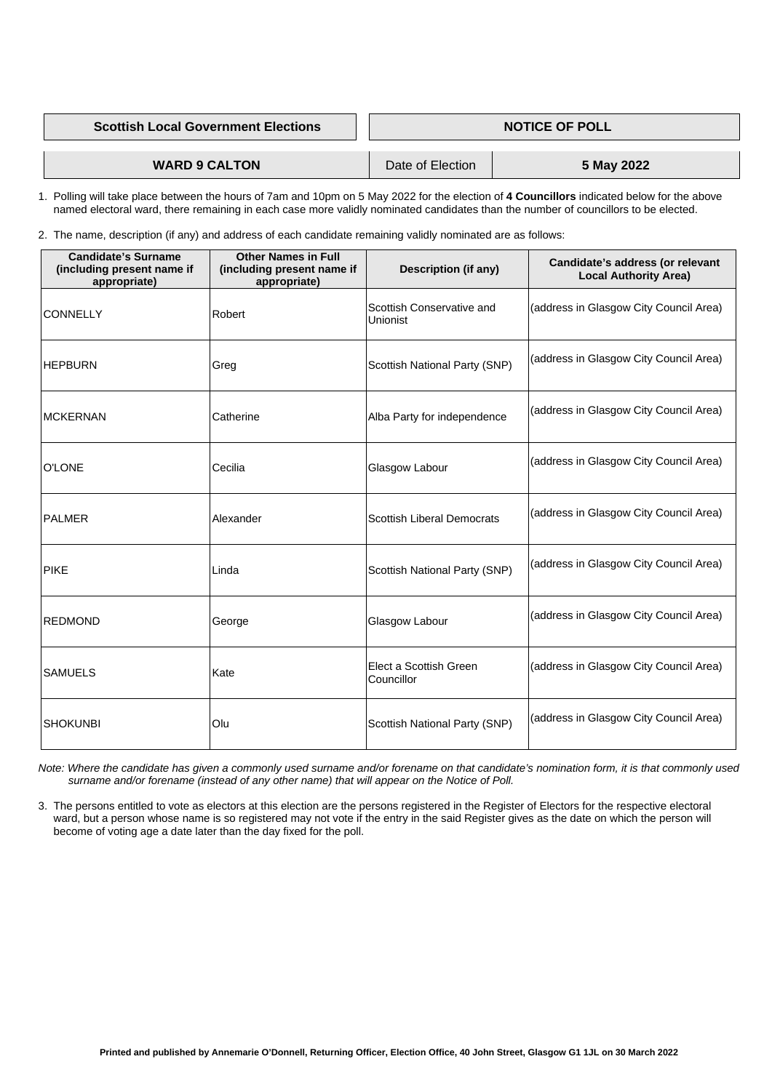| <b>Scottish Local Government Elections</b> | <b>NOTICE OF POLL</b> |            |
|--------------------------------------------|-----------------------|------------|
|                                            |                       |            |
| <b>WARD 9 CALTON</b>                       | Date of Election      | 5 May 2022 |

 1. Polling will take place between the hours of 7am and 10pm on 5 May 2022 for the election of **4 Councillors** indicated below for the above named electoral ward, there remaining in each case more validly nominated candidates than the number of councillors to be elected.

2. The name, description (if any) and address of each candidate remaining validly nominated are as follows:

 3. The persons entitled to vote as electors at this election are the persons registered in the Register of Electors for the respective electoral ward, but a person whose name is so registered may not vote if the entry in the said Register gives as the date on which the person will

| <b>Candidate's Surname</b><br>(including present name if<br>appropriate) | <b>Other Names in Full</b><br>(including present name if<br>appropriate) | <b>Description (if any)</b>           | Candidate's address (or relevant<br><b>Local Authority Area)</b> |
|--------------------------------------------------------------------------|--------------------------------------------------------------------------|---------------------------------------|------------------------------------------------------------------|
| <b>CONNELLY</b>                                                          | Robert                                                                   | Scottish Conservative and<br>Unionist | (address in Glasgow City Council Area)                           |
| <b>HEPBURN</b>                                                           | Greg                                                                     | Scottish National Party (SNP)         | (address in Glasgow City Council Area)                           |
| <b>MCKERNAN</b>                                                          | Catherine                                                                | Alba Party for independence           | (address in Glasgow City Council Area)                           |
| <b>O'LONE</b>                                                            | Cecilia                                                                  | Glasgow Labour                        | (address in Glasgow City Council Area)                           |
| <b>PALMER</b>                                                            | Alexander                                                                | Scottish Liberal Democrats            | (address in Glasgow City Council Area)                           |
| <b>PIKE</b>                                                              | Linda                                                                    | <b>Scottish National Party (SNP)</b>  | (address in Glasgow City Council Area)                           |
| <b>REDMOND</b>                                                           | George                                                                   | Glasgow Labour                        | (address in Glasgow City Council Area)                           |
| <b>SAMUELS</b>                                                           | Kate                                                                     | Elect a Scottish Green<br>Councillor  | (address in Glasgow City Council Area)                           |
| <b>SHOKUNBI</b>                                                          | Olu                                                                      | Scottish National Party (SNP)         | (address in Glasgow City Council Area)                           |

 *Note: Where the candidate has given a commonly used surname and/or forename on that candidate's nomination form, it is that commonly used surname and/or forename (instead of any other name) that will appear on the Notice of Poll.* 

become of voting age a date later than the day fixed for the poll.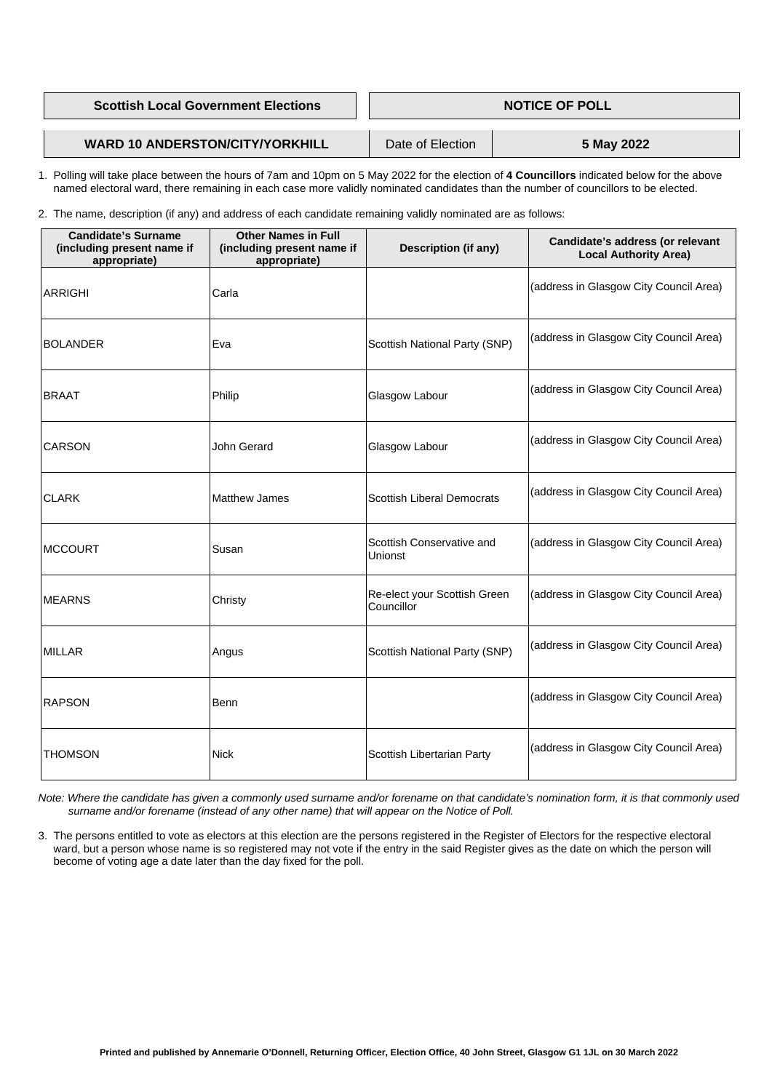| <b>Scottish Local Government Elections</b> | <b>NOTICE OF POLL</b> |            |
|--------------------------------------------|-----------------------|------------|
|                                            |                       |            |
| <b>WARD 10 ANDERSTON/CITY/YORKHILL</b>     | Date of Election      | 5 May 2022 |

 1. Polling will take place between the hours of 7am and 10pm on 5 May 2022 for the election of **4 Councillors** indicated below for the above named electoral ward, there remaining in each case more validly nominated candidates than the number of councillors to be elected.

2. The name, description (if any) and address of each candidate remaining validly nominated are as follows:

| <b>Candidate's Surname</b><br>(including present name if<br>appropriate) | <b>Other Names in Full</b><br>(including present name if<br>appropriate) | <b>Description (if any)</b>                 | Candidate's address (or relevant<br><b>Local Authority Area)</b> |
|--------------------------------------------------------------------------|--------------------------------------------------------------------------|---------------------------------------------|------------------------------------------------------------------|
| <b>ARRIGHI</b>                                                           | Carla                                                                    |                                             | (address in Glasgow City Council Area)                           |
| <b>BOLANDER</b>                                                          | Eva                                                                      | <b>Scottish National Party (SNP)</b>        | (address in Glasgow City Council Area)                           |
| <b>BRAAT</b>                                                             | Philip                                                                   | Glasgow Labour                              | (address in Glasgow City Council Area)                           |
| <b>CARSON</b>                                                            | John Gerard                                                              | Glasgow Labour                              | (address in Glasgow City Council Area)                           |
| <b>CLARK</b>                                                             | <b>Matthew James</b>                                                     | <b>Scottish Liberal Democrats</b>           | (address in Glasgow City Council Area)                           |
| <b>MCCOURT</b>                                                           | Susan                                                                    | Scottish Conservative and<br><b>Unionst</b> | (address in Glasgow City Council Area)                           |
| <b>MEARNS</b>                                                            | Christy                                                                  | Re-elect your Scottish Green<br>Councillor  | (address in Glasgow City Council Area)                           |
| <b>MILLAR</b>                                                            | Angus                                                                    | <b>Scottish National Party (SNP)</b>        | (address in Glasgow City Council Area)                           |
| <b>RAPSON</b>                                                            | <b>Benn</b>                                                              |                                             | (address in Glasgow City Council Area)                           |
| <b>THOMSON</b>                                                           | <b>Nick</b>                                                              | <b>Scottish Libertarian Party</b>           | (address in Glasgow City Council Area)                           |

 *Note: Where the candidate has given a commonly used surname and/or forename on that candidate's nomination form, it is that commonly used surname and/or forename (instead of any other name) that will appear on the Notice of Poll.*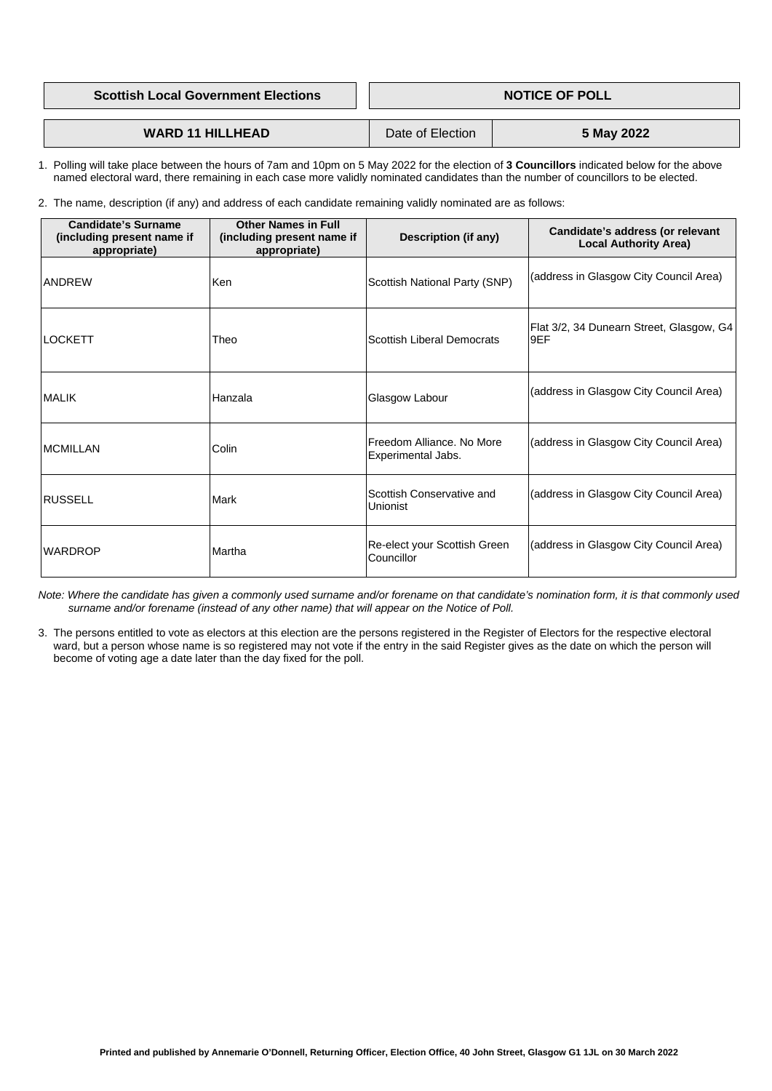**Scottish Local Government Elections Access 1 | NOTICE OF POLL** 

**WARD 11 HILLHEAD** Date of Election **5 May 2022** 

 1. Polling will take place between the hours of 7am and 10pm on 5 May 2022 for the election of **3 Councillors** indicated below for the above named electoral ward, there remaining in each case more validly nominated candidates than the number of councillors to be elected.

2. The name, description (if any) and address of each candidate remaining validly nominated are as follows:

| <b>Candidate's Surname</b><br>(including present name if<br>appropriate) | <b>Other Names in Full</b><br>(including present name if<br>appropriate) | <b>Description (if any)</b>                     | Candidate's address (or relevant<br><b>Local Authority Area)</b> |
|--------------------------------------------------------------------------|--------------------------------------------------------------------------|-------------------------------------------------|------------------------------------------------------------------|
| <b>ANDREW</b>                                                            | <b>Ken</b>                                                               | <b>Scottish National Party (SNP)</b>            | (address in Glasgow City Council Area)                           |
| LOCKETT                                                                  | Theo                                                                     | <b>Scottish Liberal Democrats</b>               | Flat 3/2, 34 Dunearn Street, Glasgow, G4<br>l9EF                 |
| <b>MALIK</b>                                                             | Hanzala                                                                  | Glasgow Labour                                  | (address in Glasgow City Council Area)                           |
| <b>MCMILLAN</b>                                                          | Colin                                                                    | Freedom Alliance. No More<br>Experimental Jabs. | (address in Glasgow City Council Area)                           |
| <b>RUSSELL</b>                                                           | <b>Mark</b>                                                              | Scottish Conservative and<br><b>Unionist</b>    | (address in Glasgow City Council Area)                           |
| <b>WARDROP</b>                                                           | Martha                                                                   | Re-elect your Scottish Green<br>Councillor      | (address in Glasgow City Council Area)                           |

 *Note: Where the candidate has given a commonly used surname and/or forename on that candidate's nomination form, it is that commonly used surname and/or forename (instead of any other name) that will appear on the Notice of Poll.*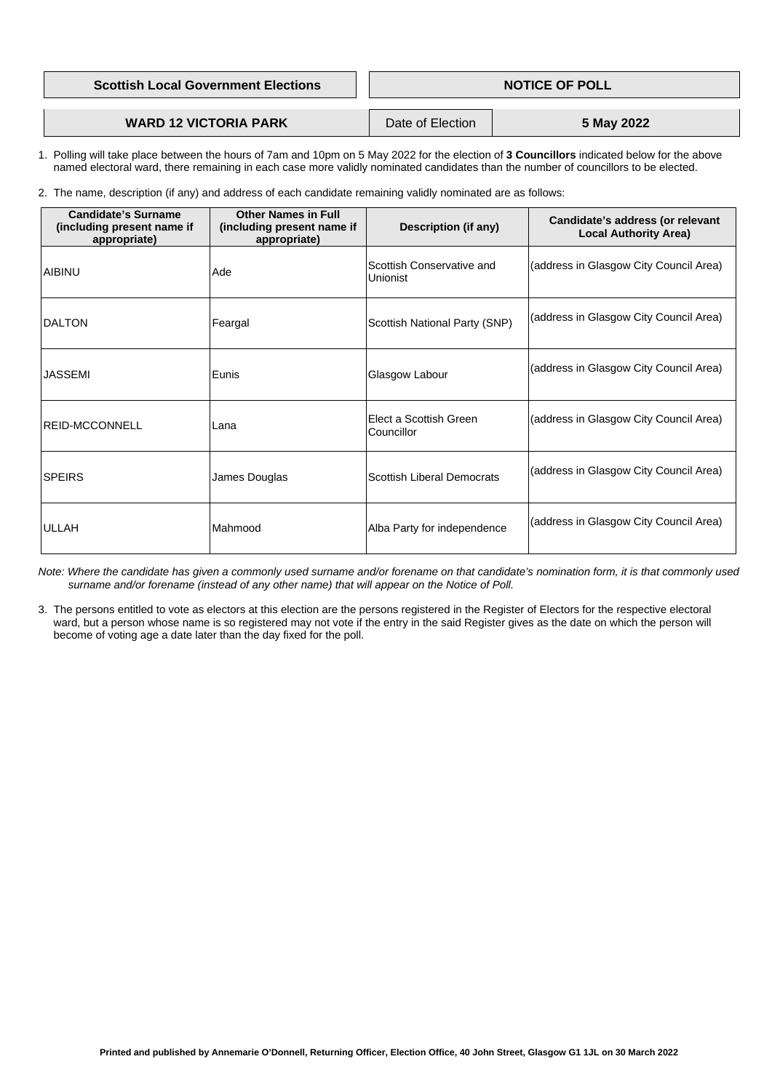| <b>Scottish Local Government Elections</b> | <b>NOTICE OF POLL</b> |  |
|--------------------------------------------|-----------------------|--|
|                                            |                       |  |
|                                            |                       |  |

## **WARD 12 VICTORIA PARK** Date of Election **5 May 2022**

- 1. Polling will take place between the hours of 7am and 10pm on 5 May 2022 for the election of **3 Councillors** indicated below for the above named electoral ward, there remaining in each case more validly nominated candidates than the number of councillors to be elected.
- 2. The name, description (if any) and address of each candidate remaining validly nominated are as follows:

| <b>Candidate's Surname</b><br>(including present name if<br>appropriate) | <b>Other Names in Full</b><br>(including present name if<br>appropriate) | <b>Description (if any)</b>                         | Candidate's address (or relevant<br><b>Local Authority Area)</b> |
|--------------------------------------------------------------------------|--------------------------------------------------------------------------|-----------------------------------------------------|------------------------------------------------------------------|
| <b>AIBINU</b>                                                            | <b>Ade</b>                                                               | <b>Scottish Conservative and</b><br><b>Unionist</b> | (address in Glasgow City Council Area)                           |
| <b>DALTON</b>                                                            | Feargal                                                                  | <b>Scottish National Party (SNP)</b>                | (address in Glasgow City Council Area)                           |
| <b>JASSEMI</b>                                                           | Eunis                                                                    | Glasgow Labour                                      | (address in Glasgow City Council Area)                           |
| <b>REID-MCCONNELL</b>                                                    | Lana                                                                     | lElect a Scottish Green<br><b>Councillor</b>        | (address in Glasgow City Council Area)                           |
| <b>SPEIRS</b>                                                            | James Douglas                                                            | <b>Scottish Liberal Democrats</b>                   | (address in Glasgow City Council Area)                           |
| <b>ULLAH</b>                                                             | Mahmood                                                                  | Alba Party for independence                         | (address in Glasgow City Council Area)                           |

 *Note: Where the candidate has given a commonly used surname and/or forename on that candidate's nomination form, it is that commonly used surname and/or forename (instead of any other name) that will appear on the Notice of Poll.*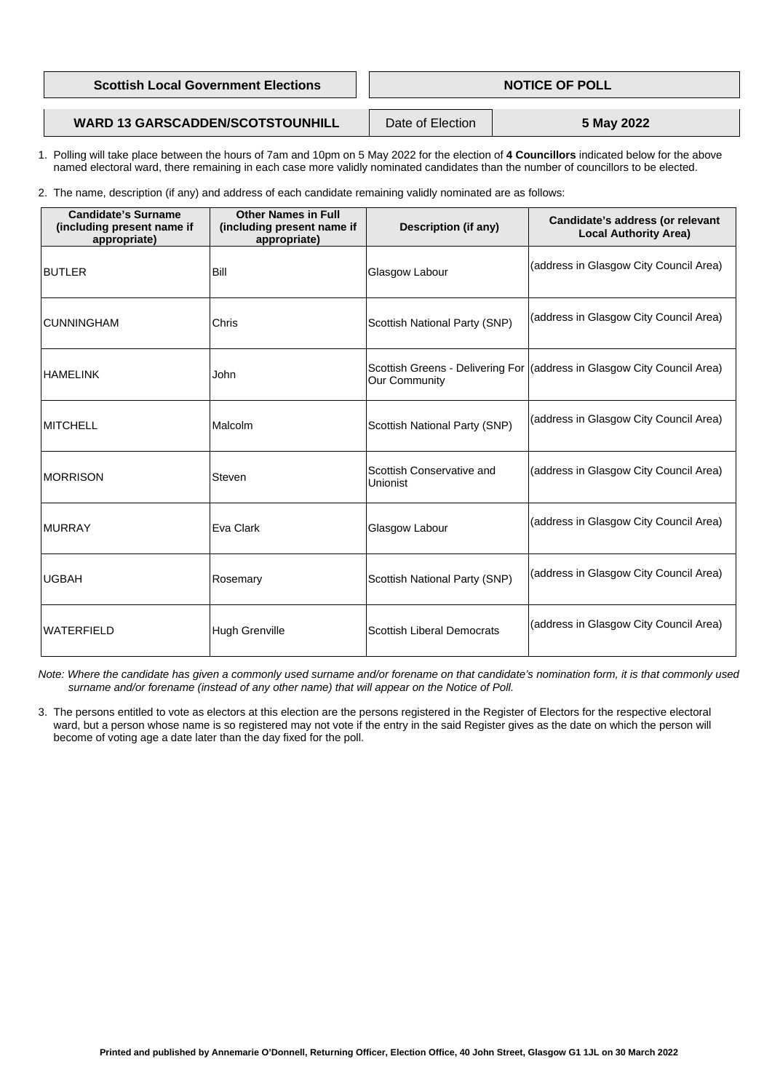| <b>Scottish Local Government Elections</b> | <b>NOTICE OF POLL</b> |            |
|--------------------------------------------|-----------------------|------------|
|                                            |                       |            |
| <b>WARD 13 GARSCADDEN/SCOTSTOUNHILL</b>    | Date of Election      | 5 May 2022 |

- 1. Polling will take place between the hours of 7am and 10pm on 5 May 2022 for the election of **4 Councillors** indicated below for the above named electoral ward, there remaining in each case more validly nominated candidates than the number of councillors to be elected.
- 2. The name, description (if any) and address of each candidate remaining validly nominated are as follows:

| <b>Candidate's Surname</b><br>(including present name if<br>appropriate) | <b>Other Names in Full</b><br>(including present name if<br>appropriate) | <b>Description (if any)</b>                  | Candidate's address (or relevant<br><b>Local Authority Area)</b>        |
|--------------------------------------------------------------------------|--------------------------------------------------------------------------|----------------------------------------------|-------------------------------------------------------------------------|
| <b>BUTLER</b>                                                            | <b>Bill</b>                                                              | Glasgow Labour                               | (address in Glasgow City Council Area)                                  |
| <b>CUNNINGHAM</b>                                                        | <b>Chris</b>                                                             | <b>Scottish National Party (SNP)</b>         | (address in Glasgow City Council Area)                                  |
| <b>HAMELINK</b>                                                          | John                                                                     | <b>Our Community</b>                         | Scottish Greens - Delivering For (address in Glasgow City Council Area) |
| <b>MITCHELL</b>                                                          | Malcolm                                                                  | <b>Scottish National Party (SNP)</b>         | (address in Glasgow City Council Area)                                  |
| <b>MORRISON</b>                                                          | <b>Steven</b>                                                            | Scottish Conservative and<br><b>Unionist</b> | (address in Glasgow City Council Area)                                  |
| <b>MURRAY</b>                                                            | Eva Clark                                                                | <b>Glasgow Labour</b>                        | (address in Glasgow City Council Area)                                  |
| <b>UGBAH</b>                                                             | Rosemary                                                                 | <b>Scottish National Party (SNP)</b>         | (address in Glasgow City Council Area)                                  |
| <b>WATERFIELD</b>                                                        | <b>Hugh Grenville</b>                                                    | <b>Scottish Liberal Democrats</b>            | (address in Glasgow City Council Area)                                  |

- *Note: Where the candidate has given a commonly used surname and/or forename on that candidate's nomination form, it is that commonly used surname and/or forename (instead of any other name) that will appear on the Notice of Poll.*
- 3. The persons entitled to vote as electors at this election are the persons registered in the Register of Electors for the respective electoral ward, but a person whose name is so registered may not vote if the entry in the said Register gives as the date on which the person will become of voting age a date later than the day fixed for the poll.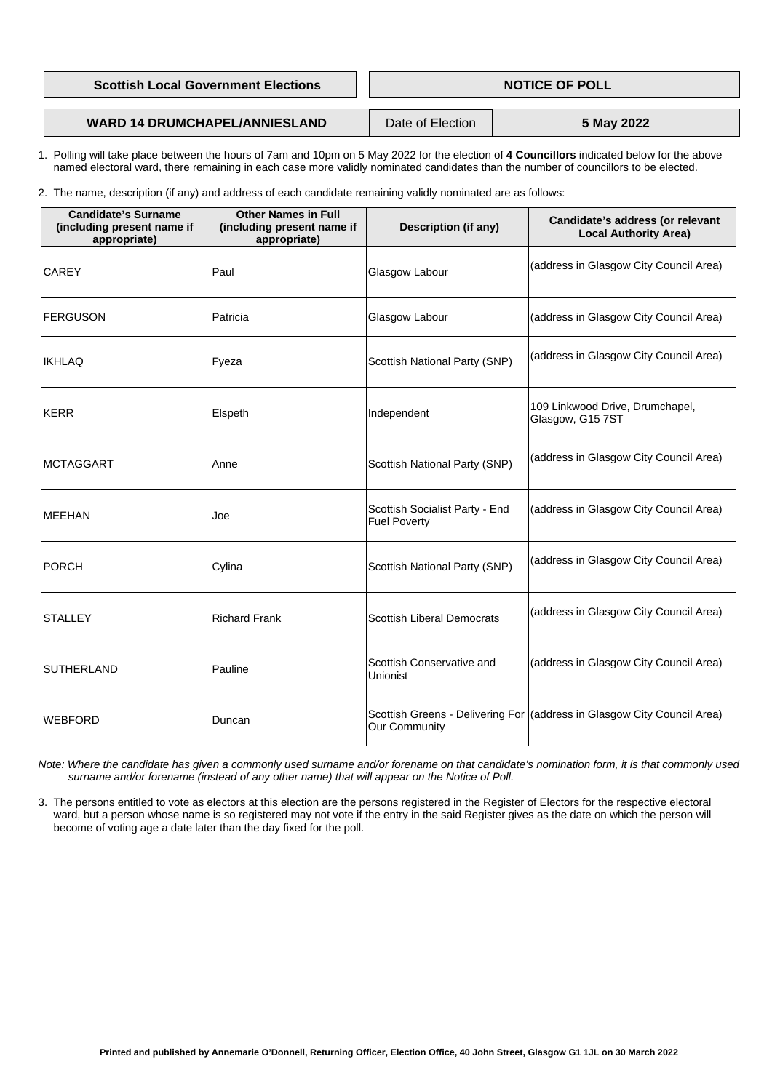| <b>Scottish Local Government Elections</b> | <b>NOTICE OF POLL</b> |  |
|--------------------------------------------|-----------------------|--|
|                                            |                       |  |
|                                            |                       |  |

# **WARD 14 DRUMCHAPEL/ANNIESLAND** Date of Election **5 May 2022**

- 1. Polling will take place between the hours of 7am and 10pm on 5 May 2022 for the election of **4 Councillors** indicated below for the above named electoral ward, there remaining in each case more validly nominated candidates than the number of councillors to be elected.
- 2. The name, description (if any) and address of each candidate remaining validly nominated are as follows:

| <b>Candidate's Surname</b><br>(including present name if<br>appropriate) | <b>Other Names in Full</b><br>(including present name if<br>appropriate) | <b>Description (if any)</b>                           | Candidate's address (or relevant<br><b>Local Authority Area)</b>          |
|--------------------------------------------------------------------------|--------------------------------------------------------------------------|-------------------------------------------------------|---------------------------------------------------------------------------|
| <b>CAREY</b>                                                             | Paul                                                                     | <b>Glasgow Labour</b>                                 | (address in Glasgow City Council Area)                                    |
| <b>FERGUSON</b>                                                          | Patricia                                                                 | Glasgow Labour                                        | (address in Glasgow City Council Area)                                    |
| <b>IKHLAQ</b>                                                            | Fyeza                                                                    | <b>Scottish National Party (SNP)</b>                  | (address in Glasgow City Council Area)                                    |
| <b>KERR</b>                                                              | Elspeth                                                                  | Independent                                           | 109 Linkwood Drive, Drumchapel,<br>Glasgow, G15 7ST                       |
| <b>MCTAGGART</b>                                                         | Anne                                                                     | <b>Scottish National Party (SNP)</b>                  | (address in Glasgow City Council Area)                                    |
| <b>MEEHAN</b>                                                            | Joe                                                                      | Scottish Socialist Party - End<br><b>Fuel Poverty</b> | (address in Glasgow City Council Area)                                    |
| <b>PORCH</b>                                                             | Cylina                                                                   | <b>Scottish National Party (SNP)</b>                  | (address in Glasgow City Council Area)                                    |
| <b>STALLEY</b>                                                           | <b>Richard Frank</b>                                                     | <b>Scottish Liberal Democrats</b>                     | (address in Glasgow City Council Area)                                    |
| <b>SUTHERLAND</b>                                                        | Pauline                                                                  | Scottish Conservative and<br><b>Unionist</b>          | (address in Glasgow City Council Area)                                    |
| <b>WEBFORD</b>                                                           | Duncan                                                                   | <b>Our Community</b>                                  | Scottish Greens - Delivering For   (address in Glasgow City Council Area) |

 *Note: Where the candidate has given a commonly used surname and/or forename on that candidate's nomination form, it is that commonly used surname and/or forename (instead of any other name) that will appear on the Notice of Poll.* 

 3. The persons entitled to vote as electors at this election are the persons registered in the Register of Electors for the respective electoral ward, but a person whose name is so registered may not vote if the entry in the said Register gives as the date on which the person will

become of voting age a date later than the day fixed for the poll.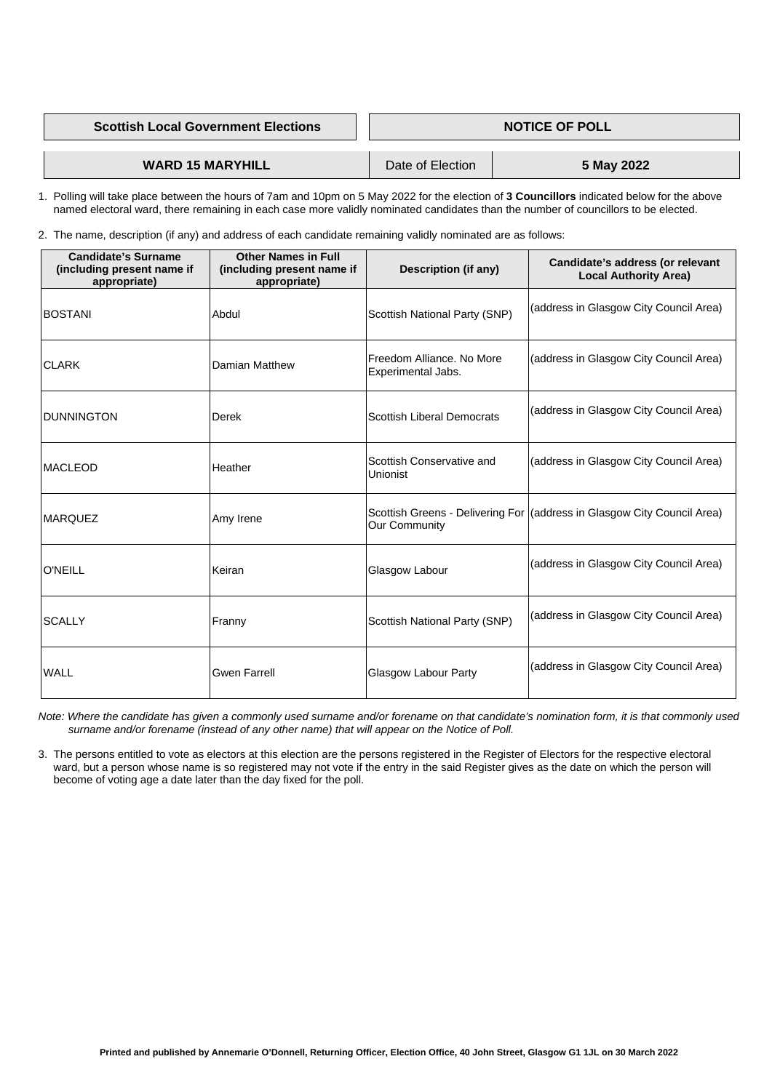| <b>Scottish Local Government Elections</b> | <b>NOTICE OF POLL</b> |            |
|--------------------------------------------|-----------------------|------------|
|                                            |                       | 5 May 2022 |
| <b>WARD 15 MARYHILL</b>                    | Date of Election      |            |

 1. Polling will take place between the hours of 7am and 10pm on 5 May 2022 for the election of **3 Councillors** indicated below for the above named electoral ward, there remaining in each case more validly nominated candidates than the number of councillors to be elected.

2. The name, description (if any) and address of each candidate remaining validly nominated are as follows:

| <b>Candidate's Surname</b><br>(including present name if<br>appropriate) | <b>Other Names in Full</b><br>(including present name if<br>appropriate) | <b>Description (if any)</b>                            | Candidate's address (or relevant<br><b>Local Authority Area)</b>        |
|--------------------------------------------------------------------------|--------------------------------------------------------------------------|--------------------------------------------------------|-------------------------------------------------------------------------|
| <b>BOSTANI</b>                                                           | Abdul                                                                    | <b>Scottish National Party (SNP)</b>                   | (address in Glasgow City Council Area)                                  |
| <b>CLARK</b>                                                             | <b>Damian Matthew</b>                                                    | Freedom Alliance. No More<br><b>Experimental Jabs.</b> | (address in Glasgow City Council Area)                                  |
| DUNNINGTON                                                               | Derek                                                                    | <b>Scottish Liberal Democrats</b>                      | (address in Glasgow City Council Area)                                  |
| <b>MACLEOD</b>                                                           | Heather                                                                  | Scottish Conservative and<br>Unionist                  | (address in Glasgow City Council Area)                                  |
| <b>MARQUEZ</b>                                                           | Amy Irene                                                                | <b>Our Community</b>                                   | Scottish Greens - Delivering For (address in Glasgow City Council Area) |
| <b>O'NEILL</b>                                                           | Keiran                                                                   | <b>Glasgow Labour</b>                                  | (address in Glasgow City Council Area)                                  |
| <b>SCALLY</b>                                                            | Franny                                                                   | <b>Scottish National Party (SNP)</b>                   | (address in Glasgow City Council Area)                                  |
| <b>WALL</b>                                                              | <b>Gwen Farrell</b>                                                      | <b>Glasgow Labour Party</b>                            | (address in Glasgow City Council Area)                                  |

 *Note: Where the candidate has given a commonly used surname and/or forename on that candidate's nomination form, it is that commonly used surname and/or forename (instead of any other name) that will appear on the Notice of Poll.*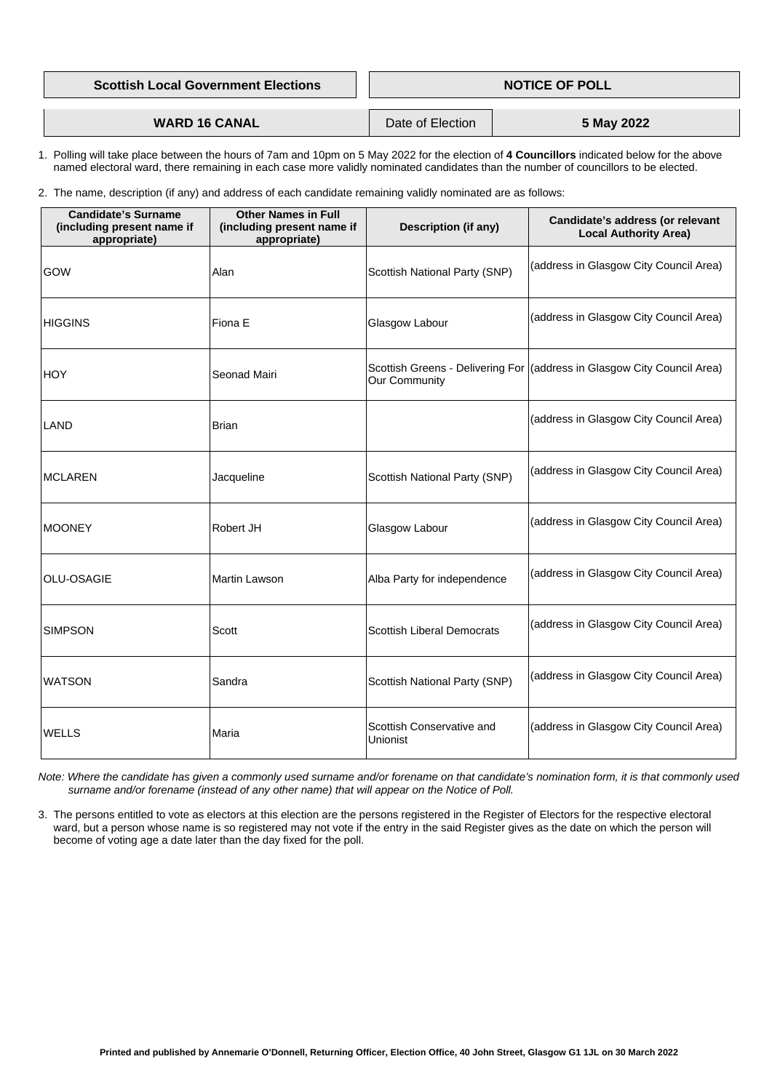| <b>Scottish Local Government Elections</b> | <b>NOTICE OF POLL</b> |            |
|--------------------------------------------|-----------------------|------------|
|                                            |                       |            |
| <b>WARD 16 CANAL</b>                       | Date of Election      | 5 May 2022 |

- 1. Polling will take place between the hours of 7am and 10pm on 5 May 2022 for the election of **4 Councillors** indicated below for the above named electoral ward, there remaining in each case more validly nominated candidates than the number of councillors to be elected.
- 2. The name, description (if any) and address of each candidate remaining validly nominated are as follows:

| <b>Candidate's Surname</b><br>(including present name if<br>appropriate) | <b>Other Names in Full</b><br>(including present name if<br>appropriate) | <b>Description (if any)</b>           | Candidate's address (or relevant<br><b>Local Authority Area)</b>          |
|--------------------------------------------------------------------------|--------------------------------------------------------------------------|---------------------------------------|---------------------------------------------------------------------------|
| GOW                                                                      | Alan                                                                     | <b>Scottish National Party (SNP)</b>  | (address in Glasgow City Council Area)                                    |
| <b>HIGGINS</b>                                                           | Fiona E                                                                  | Glasgow Labour                        | (address in Glasgow City Council Area)                                    |
| <b>HOY</b>                                                               | <b>Seonad Mairi</b>                                                      | <b>Our Community</b>                  | Scottish Greens - Delivering For   (address in Glasgow City Council Area) |
| LAND                                                                     | <b>Brian</b>                                                             |                                       | (address in Glasgow City Council Area)                                    |
| <b>MCLAREN</b>                                                           | Jacqueline                                                               | <b>Scottish National Party (SNP)</b>  | (address in Glasgow City Council Area)                                    |
| <b>MOONEY</b>                                                            | <b>Robert JH</b>                                                         | Glasgow Labour                        | (address in Glasgow City Council Area)                                    |
| <b>OLU-OSAGIE</b>                                                        | <b>Martin Lawson</b>                                                     | Alba Party for independence           | (address in Glasgow City Council Area)                                    |
| <b>SIMPSON</b>                                                           | <b>Scott</b>                                                             | <b>Scottish Liberal Democrats</b>     | (address in Glasgow City Council Area)                                    |
| <b>WATSON</b>                                                            | Sandra                                                                   | <b>Scottish National Party (SNP)</b>  | (address in Glasgow City Council Area)                                    |
| <b>WELLS</b>                                                             | Maria                                                                    | Scottish Conservative and<br>Unionist | (address in Glasgow City Council Area)                                    |

 *Note: Where the candidate has given a commonly used surname and/or forename on that candidate's nomination form, it is that commonly used surname and/or forename (instead of any other name) that will appear on the Notice of Poll.*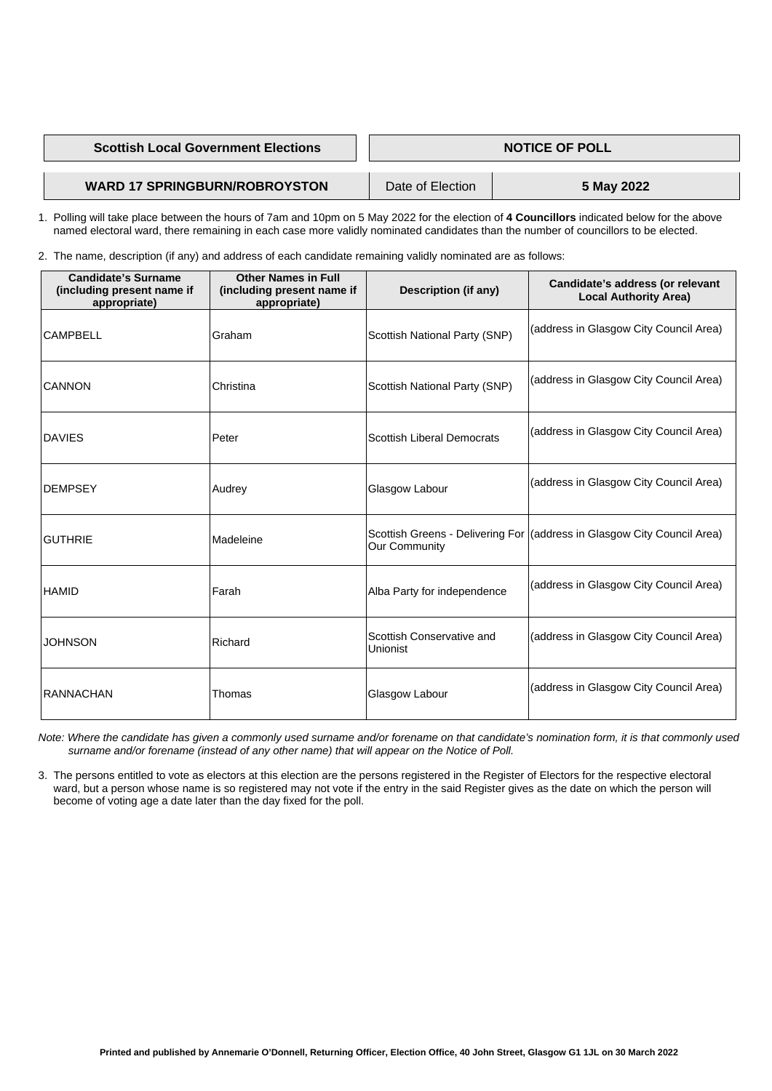### **Scottish Local Government Elections Access 1 | NOTICE OF POLL**

## **WARD 17 SPRINGBURN/ROBROYSTON** Date of Election **5 May 2022**

 1. Polling will take place between the hours of 7am and 10pm on 5 May 2022 for the election of **4 Councillors** indicated below for the above named electoral ward, there remaining in each case more validly nominated candidates than the number of councillors to be elected.

2. The name, description (if any) and address of each candidate remaining validly nominated are as follows:

| <b>Candidate's Surname</b><br>(including present name if<br>appropriate) | <b>Other Names in Full</b><br>(including present name if<br>appropriate) | <b>Description (if any)</b>                  | <b>Candidate's address (or relevant</b><br><b>Local Authority Area)</b> |
|--------------------------------------------------------------------------|--------------------------------------------------------------------------|----------------------------------------------|-------------------------------------------------------------------------|
| <b>CAMPBELL</b>                                                          | Graham                                                                   | <b>Scottish National Party (SNP)</b>         | (address in Glasgow City Council Area)                                  |
| <b>CANNON</b>                                                            | Christina                                                                | <b>Scottish National Party (SNP)</b>         | (address in Glasgow City Council Area)                                  |
| <b>DAVIES</b>                                                            | Peter                                                                    | <b>Scottish Liberal Democrats</b>            | (address in Glasgow City Council Area)                                  |
| <b>DEMPSEY</b>                                                           | Audrey                                                                   | Glasgow Labour                               | (address in Glasgow City Council Area)                                  |
| <b>GUTHRIE</b>                                                           | Madeleine                                                                | <b>Our Community</b>                         | Scottish Greens - Delivering For (address in Glasgow City Council Area) |
| <b>HAMID</b>                                                             | Farah                                                                    | Alba Party for independence                  | (address in Glasgow City Council Area)                                  |
| <b>JOHNSON</b>                                                           | Richard                                                                  | Scottish Conservative and<br><b>Unionist</b> | (address in Glasgow City Council Area)                                  |
| <b>RANNACHAN</b>                                                         | Thomas                                                                   | <b>Glasgow Labour</b>                        | (address in Glasgow City Council Area)                                  |

 *Note: Where the candidate has given a commonly used surname and/or forename on that candidate's nomination form, it is that commonly used surname and/or forename (instead of any other name) that will appear on the Notice of Poll.*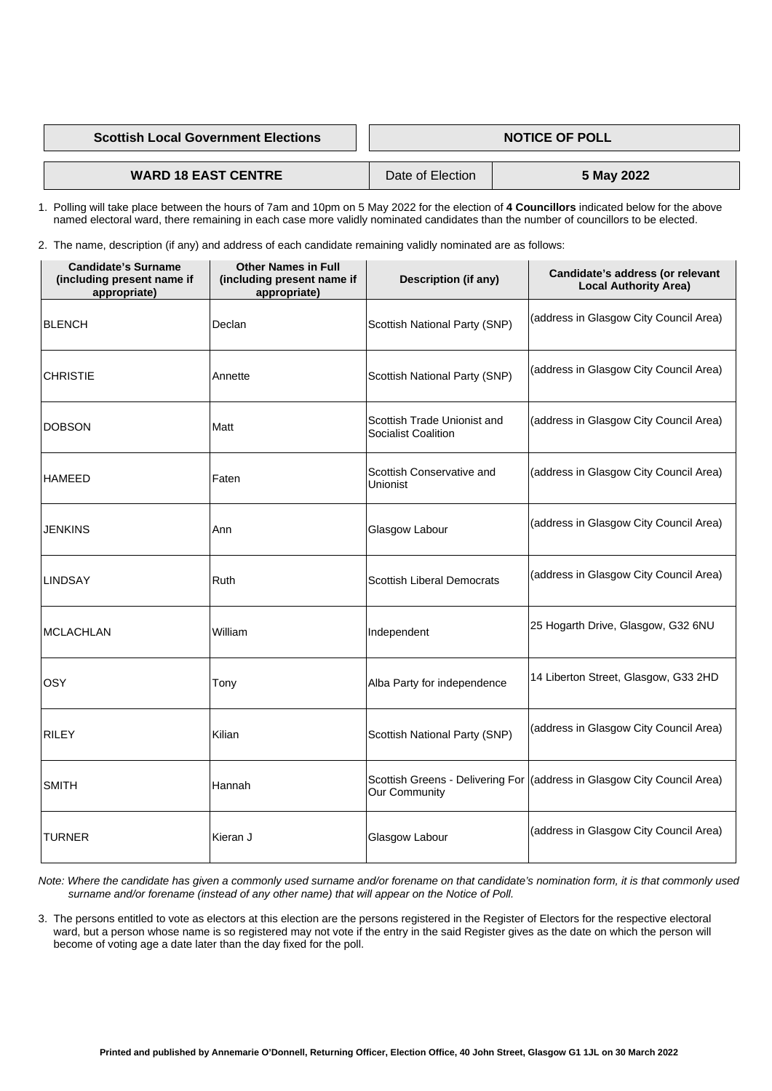**Scottish Local Government Elections MOTICE OF POLL SCOTTIGE OF POLL** 

**WARD 18 EAST CENTRE** Date of Election **5 May 2022** 

 1. Polling will take place between the hours of 7am and 10pm on 5 May 2022 for the election of **4 Councillors** indicated below for the above named electoral ward, there remaining in each case more validly nominated candidates than the number of councillors to be elected.

2. The name, description (if any) and address of each candidate remaining validly nominated are as follows:

| <b>Candidate's Surname</b><br>(including present name if<br>appropriate) | <b>Other Names in Full</b><br>(including present name if<br>appropriate) | <b>Description (if any)</b>                                      | Candidate's address (or relevant<br><b>Local Authority Area)</b>          |
|--------------------------------------------------------------------------|--------------------------------------------------------------------------|------------------------------------------------------------------|---------------------------------------------------------------------------|
| <b>BLENCH</b>                                                            | Declan                                                                   | <b>Scottish National Party (SNP)</b>                             | (address in Glasgow City Council Area)                                    |
| <b>CHRISTIE</b>                                                          | Annette                                                                  | <b>Scottish National Party (SNP)</b>                             | (address in Glasgow City Council Area)                                    |
| <b>DOBSON</b>                                                            | Matt                                                                     | <b>Scottish Trade Unionist and</b><br><b>Socialist Coalition</b> | (address in Glasgow City Council Area)                                    |
| <b>HAMEED</b>                                                            | Faten                                                                    | Scottish Conservative and<br>Unionist                            | (address in Glasgow City Council Area)                                    |
| <b>JENKINS</b>                                                           | Ann                                                                      | Glasgow Labour                                                   | (address in Glasgow City Council Area)                                    |
| <b>LINDSAY</b>                                                           | Ruth                                                                     | <b>Scottish Liberal Democrats</b>                                | (address in Glasgow City Council Area)                                    |
| <b>MCLACHLAN</b>                                                         | William                                                                  | Independent                                                      | 25 Hogarth Drive, Glasgow, G32 6NU                                        |
| <b>OSY</b>                                                               | Tony                                                                     | Alba Party for independence                                      | 14 Liberton Street, Glasgow, G33 2HD                                      |
| <b>RILEY</b>                                                             | Kilian                                                                   | <b>Scottish National Party (SNP)</b>                             | (address in Glasgow City Council Area)                                    |
| <b>SMITH</b>                                                             | Hannah                                                                   | <b>Our Community</b>                                             | Scottish Greens - Delivering For   (address in Glasgow City Council Area) |
|                                                                          |                                                                          |                                                                  |                                                                           |

| <b>ITURNER</b> | -<br>lKieran J | Glasgow Labour | (address in Glasgow City Council Area) |
|----------------|----------------|----------------|----------------------------------------|
|                |                |                |                                        |

- *Note: Where the candidate has given a commonly used surname and/or forename on that candidate's nomination form, it is that commonly used surname and/or forename (instead of any other name) that will appear on the Notice of Poll.*
- 3. The persons entitled to vote as electors at this election are the persons registered in the Register of Electors for the respective electoral ward, but a person whose name is so registered may not vote if the entry in the said Register gives as the date on which the person will become of voting age a date later than the day fixed for the poll.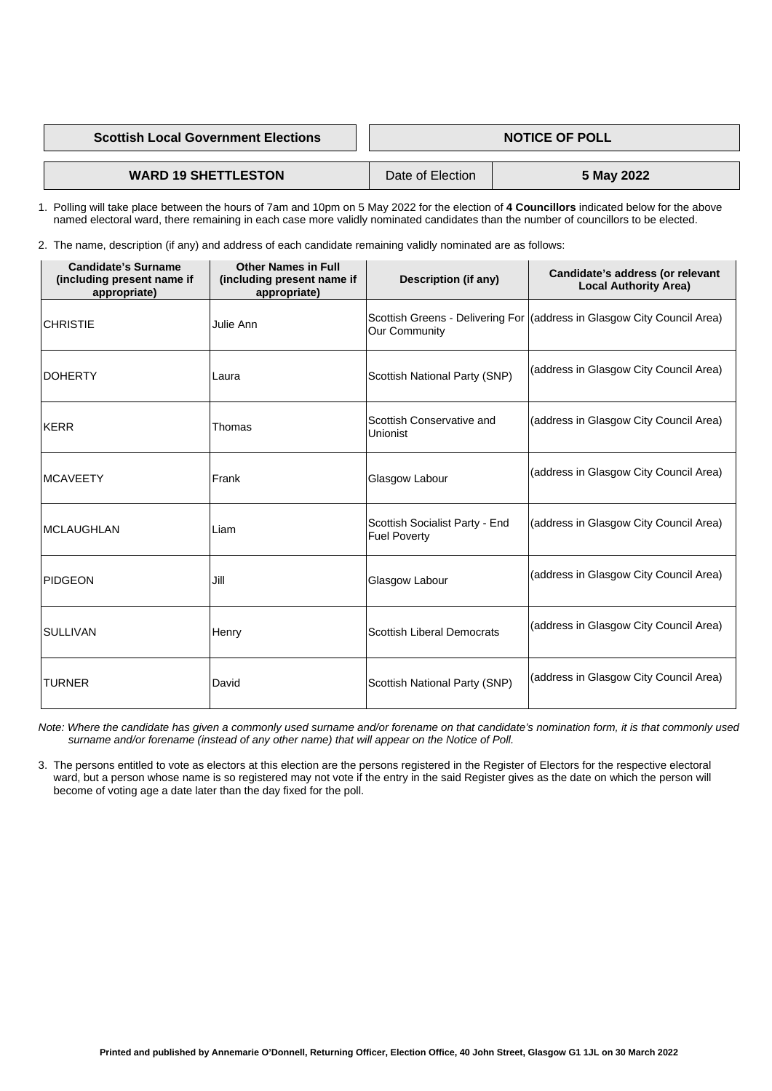**Scottish Local Government Elections NOTICE OF POLL SCOTTIGE OF POLL** 

## **WARD 19 SHETTLESTON** Date of Election **5 May 2022**

 1. Polling will take place between the hours of 7am and 10pm on 5 May 2022 for the election of **4 Councillors** indicated below for the above named electoral ward, there remaining in each case more validly nominated candidates than the number of councillors to be elected.

2. The name, description (if any) and address of each candidate remaining validly nominated are as follows:

| <b>Candidate's Surname</b><br>(including present name if<br>appropriate) | <b>Other Names in Full</b><br>(including present name if<br>appropriate) | <b>Description (if any)</b>                                  | Candidate's address (or relevant<br><b>Local Authority Area)</b>        |
|--------------------------------------------------------------------------|--------------------------------------------------------------------------|--------------------------------------------------------------|-------------------------------------------------------------------------|
| <b>CHRISTIE</b>                                                          | Julie Ann                                                                | <b>Our Community</b>                                         | Scottish Greens - Delivering For (address in Glasgow City Council Area) |
| <b>DOHERTY</b>                                                           | Laura                                                                    | <b>Scottish National Party (SNP)</b>                         | (address in Glasgow City Council Area)                                  |
| <b>KERR</b>                                                              | Thomas                                                                   | Scottish Conservative and<br><b>Unionist</b>                 | (address in Glasgow City Council Area)                                  |
| <b>MCAVEETY</b>                                                          | Frank                                                                    | Glasgow Labour                                               | (address in Glasgow City Council Area)                                  |
| <b>MCLAUGHLAN</b>                                                        | Liam                                                                     | <b>Scottish Socialist Party - End</b><br><b>Fuel Poverty</b> | (address in Glasgow City Council Area)                                  |
| <b>PIDGEON</b>                                                           | Jill                                                                     | Glasgow Labour                                               | (address in Glasgow City Council Area)                                  |
| <b>SULLIVAN</b>                                                          | Henry                                                                    | <b>Scottish Liberal Democrats</b>                            | (address in Glasgow City Council Area)                                  |
| <b>TURNER</b>                                                            | David                                                                    | <b>Scottish National Party (SNP)</b>                         | (address in Glasgow City Council Area)                                  |

 *Note: Where the candidate has given a commonly used surname and/or forename on that candidate's nomination form, it is that commonly used surname and/or forename (instead of any other name) that will appear on the Notice of Poll.*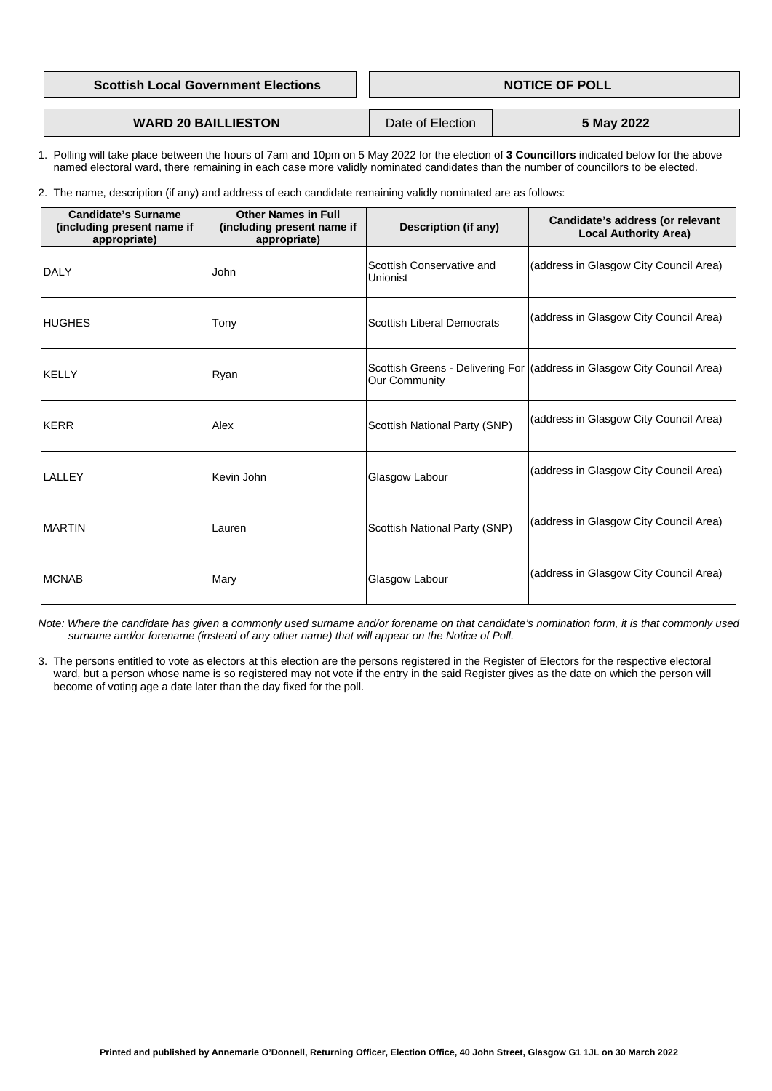| <b>Scottish Local Government Elections</b> | <b>NOTICE OF POLL</b> |            |
|--------------------------------------------|-----------------------|------------|
|                                            |                       |            |
| <b>WARD 20 BAILLIESTON</b>                 | Date of Election      | 5 May 2022 |

- 1. Polling will take place between the hours of 7am and 10pm on 5 May 2022 for the election of **3 Councillors** indicated below for the above named electoral ward, there remaining in each case more validly nominated candidates than the number of councillors to be elected.
- 2. The name, description (if any) and address of each candidate remaining validly nominated are as follows:

| <b>Candidate's Surname</b><br>(including present name if<br>appropriate) | <b>Other Names in Full</b><br>(including present name if<br>appropriate) | <b>Description (if any)</b>                  | <b>Candidate's address (or relevant</b><br><b>Local Authority Area)</b>   |
|--------------------------------------------------------------------------|--------------------------------------------------------------------------|----------------------------------------------|---------------------------------------------------------------------------|
| <b>DALY</b>                                                              | John                                                                     | Scottish Conservative and<br><b>Unionist</b> | (address in Glasgow City Council Area)                                    |
| <b>HUGHES</b>                                                            | Tony                                                                     | <b>Scottish Liberal Democrats</b>            | (address in Glasgow City Council Area)                                    |
| <b>KELLY</b>                                                             | Ryan                                                                     | <b>Our Community</b>                         | Scottish Greens - Delivering For   (address in Glasgow City Council Area) |
| KERR                                                                     | Alex                                                                     | <b>Scottish National Party (SNP)</b>         | (address in Glasgow City Council Area)                                    |
| <b>LALLEY</b>                                                            | Kevin John                                                               | Glasgow Labour                               | (address in Glasgow City Council Area)                                    |
| <b>MARTIN</b>                                                            | Lauren                                                                   | <b>Scottish National Party (SNP)</b>         | (address in Glasgow City Council Area)                                    |
| <b>MCNAB</b>                                                             | Mary                                                                     | Glasgow Labour                               | (address in Glasgow City Council Area)                                    |

 *Note: Where the candidate has given a commonly used surname and/or forename on that candidate's nomination form, it is that commonly used surname and/or forename (instead of any other name) that will appear on the Notice of Poll.*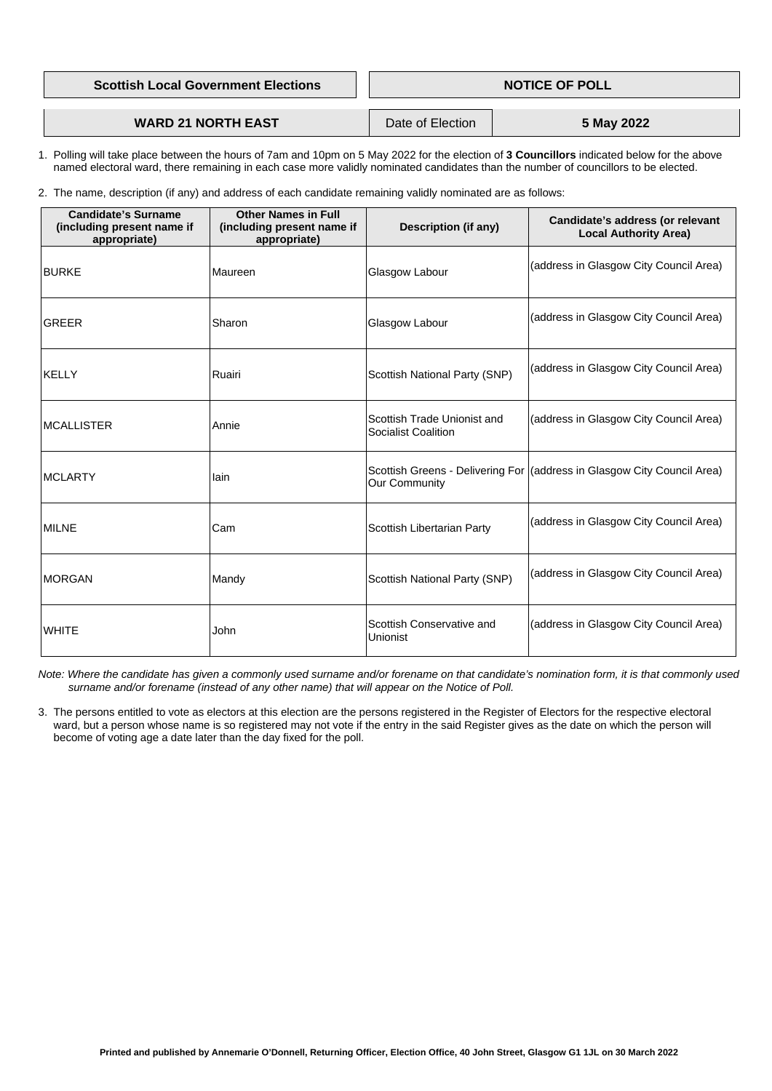| <b>Scottish Local Government Elections</b> | <b>NOTICE OF POLL</b> |  |
|--------------------------------------------|-----------------------|--|
|                                            |                       |  |
|                                            |                       |  |

**WARD 21 NORTH EAST Date of Election 1 5 May 2022** 

- 1. Polling will take place between the hours of 7am and 10pm on 5 May 2022 for the election of **3 Councillors** indicated below for the above named electoral ward, there remaining in each case more validly nominated candidates than the number of councillors to be elected.
- 2. The name, description (if any) and address of each candidate remaining validly nominated are as follows:

| <b>Candidate's Surname</b><br>(including present name if<br>appropriate) | <b>Other Names in Full</b><br>(including present name if<br>appropriate) | <b>Description (if any)</b>                               | Candidate's address (or relevant<br><b>Local Authority Area)</b>        |
|--------------------------------------------------------------------------|--------------------------------------------------------------------------|-----------------------------------------------------------|-------------------------------------------------------------------------|
| <b>BURKE</b>                                                             | Maureen                                                                  | Glasgow Labour                                            | (address in Glasgow City Council Area)                                  |
| <b>GREER</b>                                                             | Sharon                                                                   | Glasgow Labour                                            | (address in Glasgow City Council Area)                                  |
| <b>KELLY</b>                                                             | Ruairi                                                                   | <b>Scottish National Party (SNP)</b>                      | (address in Glasgow City Council Area)                                  |
| <b>MCALLISTER</b>                                                        | Annie                                                                    | Scottish Trade Unionist and<br><b>Socialist Coalition</b> | (address in Glasgow City Council Area)                                  |
| <b>MCLARTY</b>                                                           | lain                                                                     | <b>Our Community</b>                                      | Scottish Greens - Delivering For (address in Glasgow City Council Area) |
| <b>MILNE</b>                                                             | Cam                                                                      | <b>Scottish Libertarian Party</b>                         | (address in Glasgow City Council Area)                                  |
| <b>MORGAN</b>                                                            | Mandy                                                                    | <b>Scottish National Party (SNP)</b>                      | (address in Glasgow City Council Area)                                  |
| <b>WHITE</b>                                                             | John                                                                     | Scottish Conservative and<br><b>Unionist</b>              | (address in Glasgow City Council Area)                                  |

 *Note: Where the candidate has given a commonly used surname and/or forename on that candidate's nomination form, it is that commonly used surname and/or forename (instead of any other name) that will appear on the Notice of Poll.*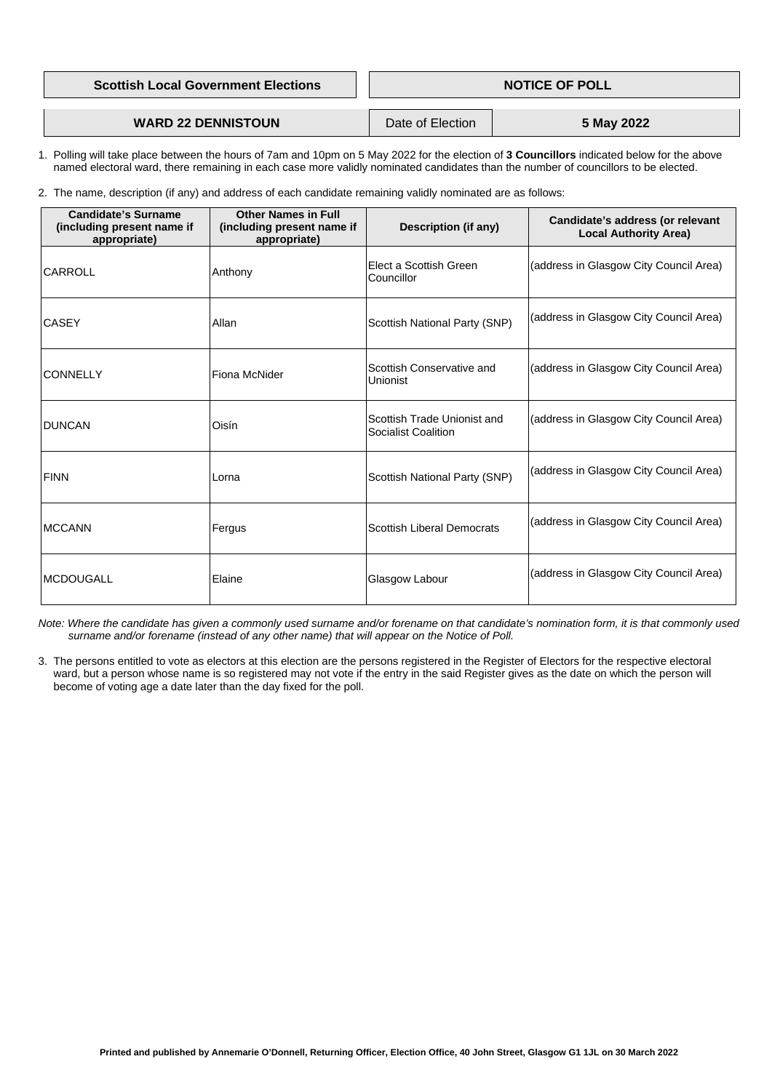| <b>Scottish Local Government Elections</b> | <b>NOTICE OF POLL</b> |            |  |
|--------------------------------------------|-----------------------|------------|--|
|                                            |                       |            |  |
| <b>WARD 22 DENNISTOUN</b>                  | Date of Election      | 5 May 2022 |  |

- 1. Polling will take place between the hours of 7am and 10pm on 5 May 2022 for the election of **3 Councillors** indicated below for the above named electoral ward, there remaining in each case more validly nominated candidates than the number of councillors to be elected.
- 2. The name, description (if any) and address of each candidate remaining validly nominated are as follows:

| <b>Candidate's Surname</b><br>(including present name if<br>appropriate) | <b>Other Names in Full</b><br>(including present name if<br>appropriate) | <b>Description (if any)</b>                               | <b>Candidate's address (or relevant</b><br><b>Local Authority Area)</b> |
|--------------------------------------------------------------------------|--------------------------------------------------------------------------|-----------------------------------------------------------|-------------------------------------------------------------------------|
| <b>CARROLL</b>                                                           | Anthony                                                                  | Elect a Scottish Green<br><b>Councillor</b>               | (address in Glasgow City Council Area)                                  |
| <b>CASEY</b>                                                             | Allan                                                                    | <b>Scottish National Party (SNP)</b>                      | (address in Glasgow City Council Area)                                  |
| <b>CONNELLY</b>                                                          | <b>Fiona McNider</b>                                                     | Scottish Conservative and<br><b>Unionist</b>              | (address in Glasgow City Council Area)                                  |
| <b>DUNCAN</b>                                                            | Oisín                                                                    | Scottish Trade Unionist and<br><b>Socialist Coalition</b> | (address in Glasgow City Council Area)                                  |
| <b>FINN</b>                                                              | Lorna                                                                    | <b>Scottish National Party (SNP)</b>                      | (address in Glasgow City Council Area)                                  |
| <b>MCCANN</b>                                                            | Fergus                                                                   | <b>Scottish Liberal Democrats</b>                         | (address in Glasgow City Council Area)                                  |
| <b>MCDOUGALL</b>                                                         | Elaine                                                                   | Glasgow Labour                                            | (address in Glasgow City Council Area)                                  |

 *Note: Where the candidate has given a commonly used surname and/or forename on that candidate's nomination form, it is that commonly used surname and/or forename (instead of any other name) that will appear on the Notice of Poll.*